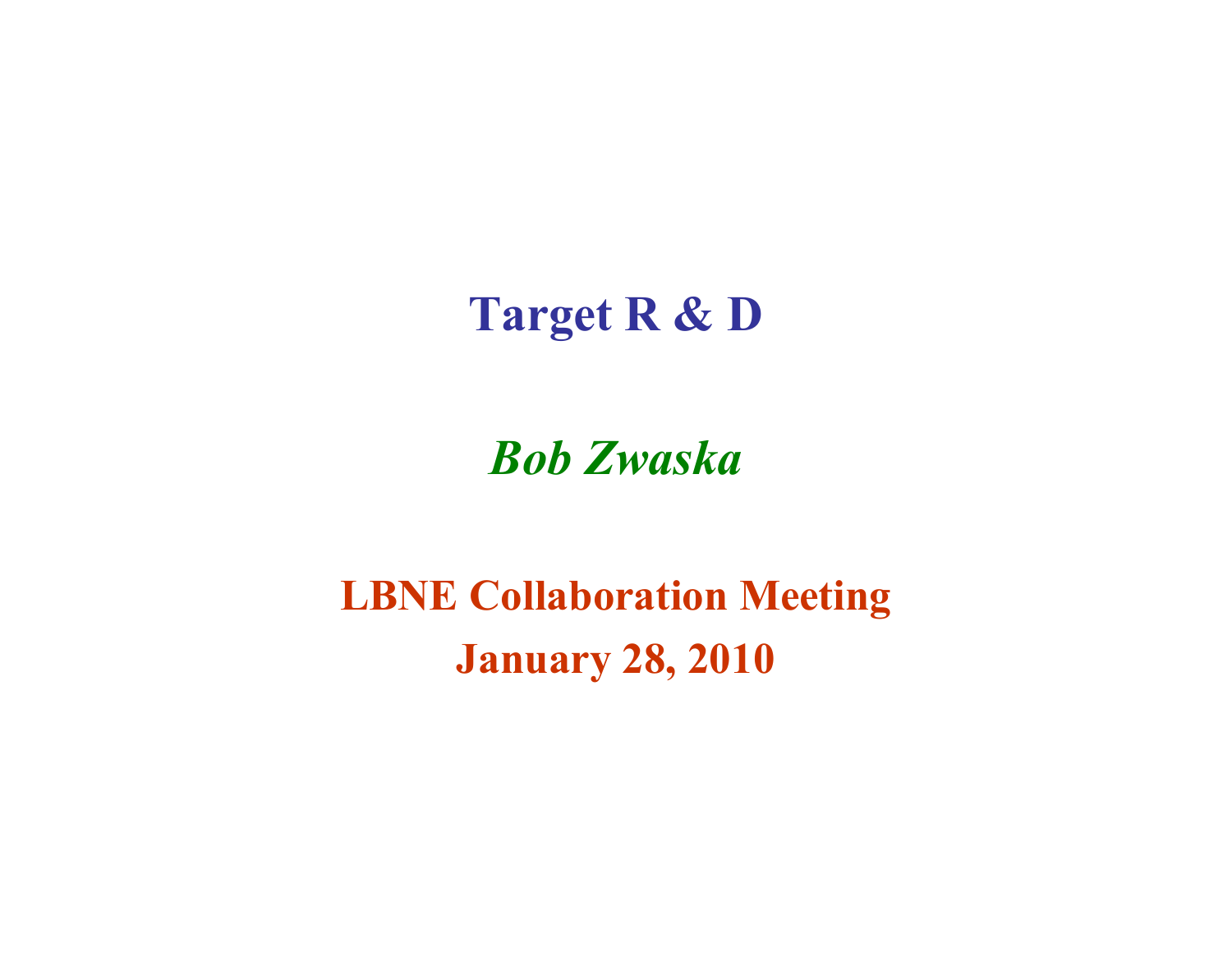Target R & D

Bob Zwaska

LBNE Collaboration MeetingJanuary 28, 2010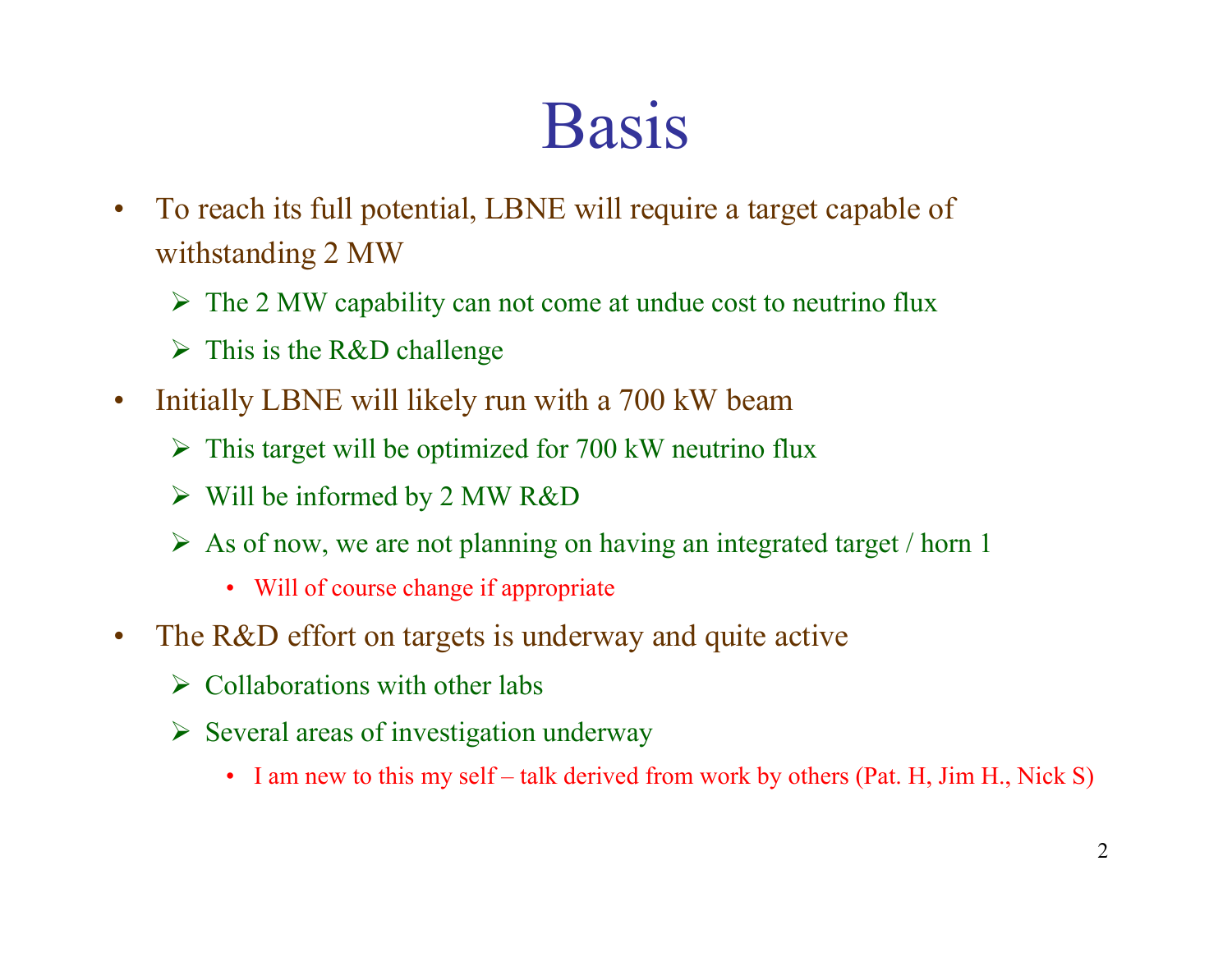## Basis

- • To reach its full potential, LBNE will require a target capable of withstanding 2 MW
	- The 2 MW capability can not come at undue cost to neutrino flux
	- $\triangleright$  This is the R&D challenge
- $\bullet$  Initially LBNE will likely run with a 700 kW beam
	- $\triangleright$  This target will be optimized for 700 kW neutrino flux
	- $\triangleright$  Will be informed by 2 MW R&D
	- $\triangleright$  As of now, we are not planning on having an integrated target / horn 1
		- Will of course change if appropriate
- $\bullet$ The R&D effort on targets is underway and quite active
	- $\triangleright$  Collaborations with other labs
	- $\triangleright$  Several areas of investigation underway
		- I am new to this my self talk derived from work by others (Pat. H, Jim H., Nick S)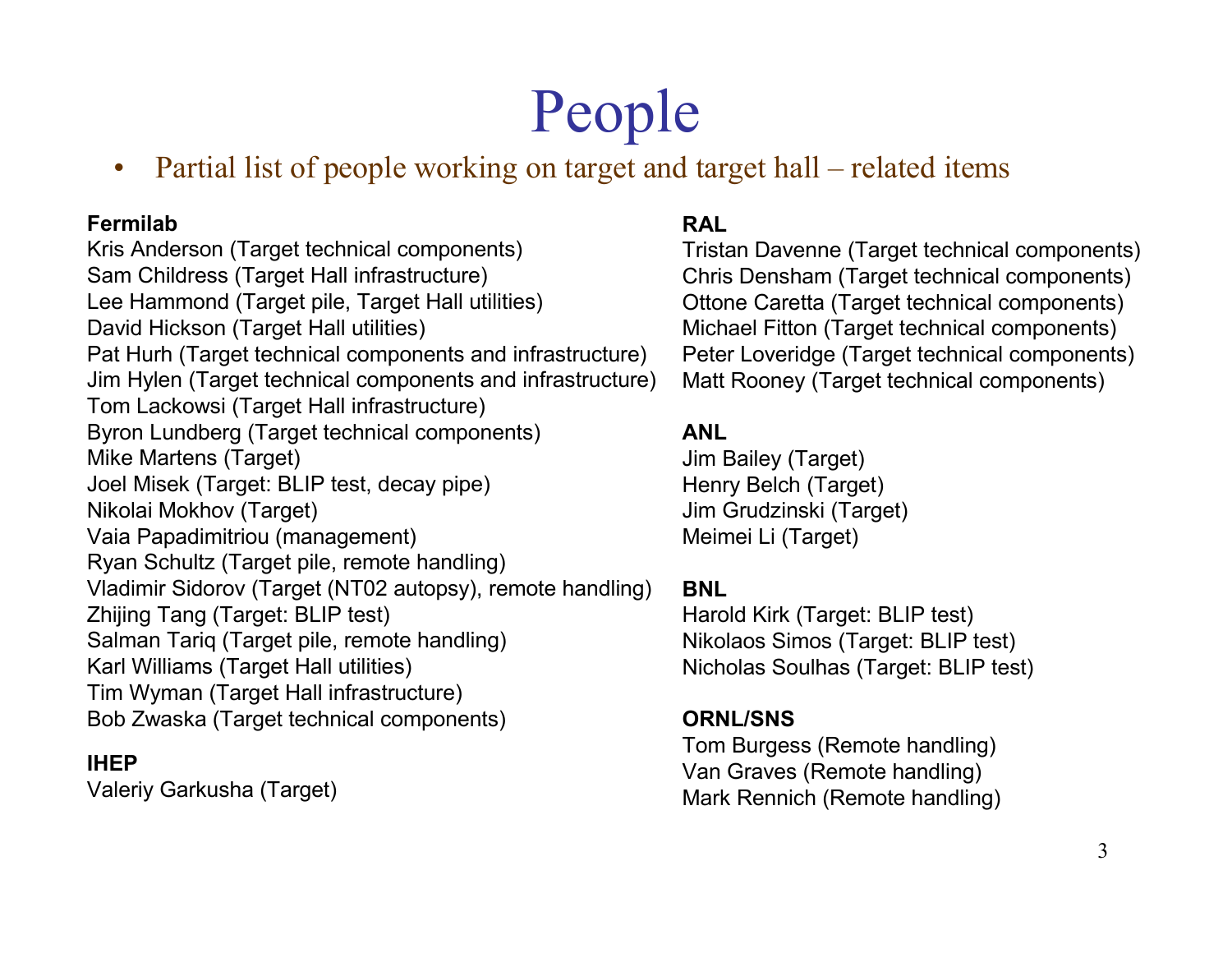## People

 Partial list of people working on target and target hall – related items  $\bullet$ 

#### Fermilab

 Kris Anderson (Target technical components)Sam Childress (Target Hall infrastructure) Lee Hammond (Target pile, Target Hall utilities)David Hickson (Target Hall utilities) Pat Hurh (Target technical components and infrastructure) Jim Hylen (Target technical components and infrastructure) Tom Lackowsi (Target Hall infrastructure) Byron Lundberg (Target technical components)Mike Martens (Target)Joel Misek (Target: BLIP test, decay pipe)<br>Nikelei Makhay (Target) Nikolai Mokhov (Target) Vaia Papadimitriou (management) Ryan Schultz (Target pile, remote handling)Vladimir Sidorov (Target (NT02 autopsy), remote handling) Zhijing Tang (Target: BLIP test) Salman Tariq (Target pile, remote handling) Karl Williams (Target Hall utilities) Tim Wyman (Target Hall infrastructure)Bob Zwaska (Target technical components)

#### IHEP

Valeriy Garkusha (Target)

#### RAL

 Tristan Davenne (Target technical components) Chris Densham (Target technical components) Ottone Caretta (Target technical components) Michael Fitton (Target technical components) Peter Loveridge (Target technical components) Matt Rooney (Target technical components)

#### ANL

 Jim Bailey (Target)Henry Belch (Target)Jim Grudzinski (Target)<br>Maimei Li (Target) Meimei Li (Target)

#### BNL

 Harold Kirk (Target: BLIP test) Nikolaos Simos (Target: BLIP test) Nicholas Soulhas (Target: BLIP test)

#### ORNL/SNS

 Tom Burgess (Remote handling)Van Graves (Remote handling)Mark Rennich (Remote handling)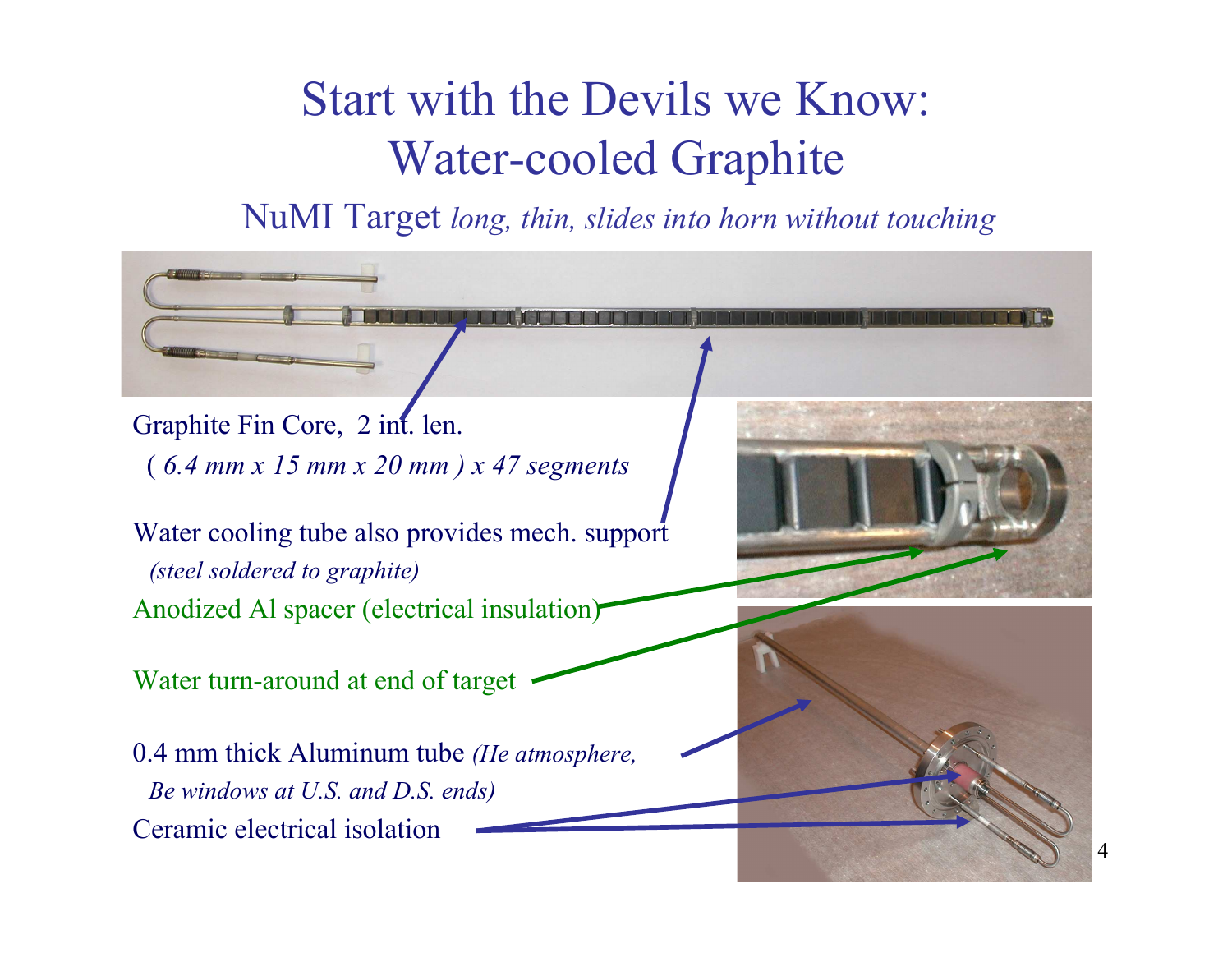#### Start with the Devils we Know:Water-cooled Graphite

NuMI Target long, thin, slides into horn without touching

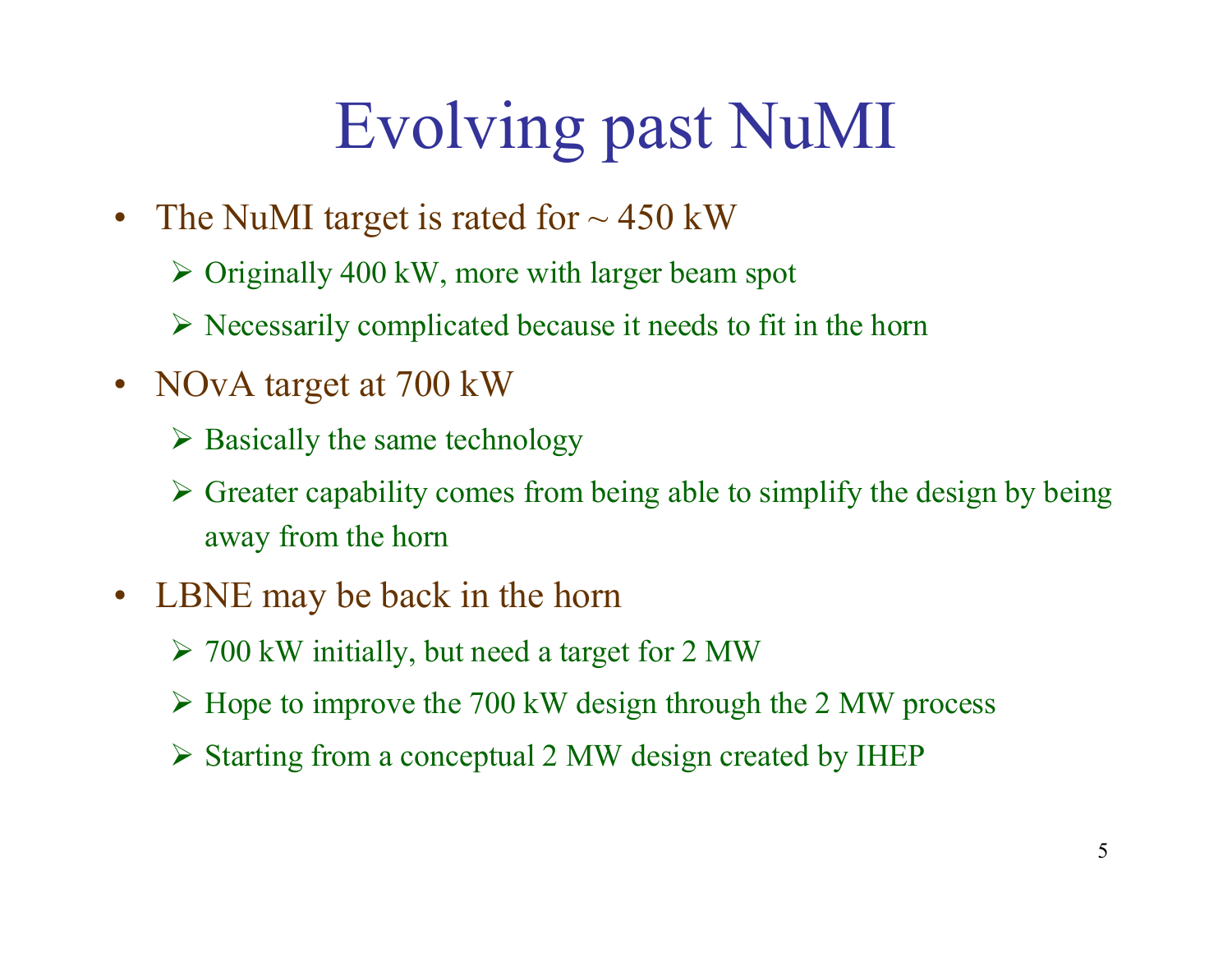# Evolving past NuMI

- The NuMI target is rated for  $\sim$  450 kW
	- Originally 400 kW, more with larger beam spot
	- $\triangleright$  Necessarily complicated because it needs to fit in the horn
- NOvA target at 700 kW
	- $\triangleright$  Basically the same technology
	- $\triangleright$  Greater capability comes from being able to simplify the design by being away from the horn
- $\bullet$  LBNE may be back in the horn
	- 700 kW initially, but need a target for 2 MW
	- Hope to improve the 700 kW design through the 2 MW process
	- Starting from a conceptual 2 MW design created by IHEP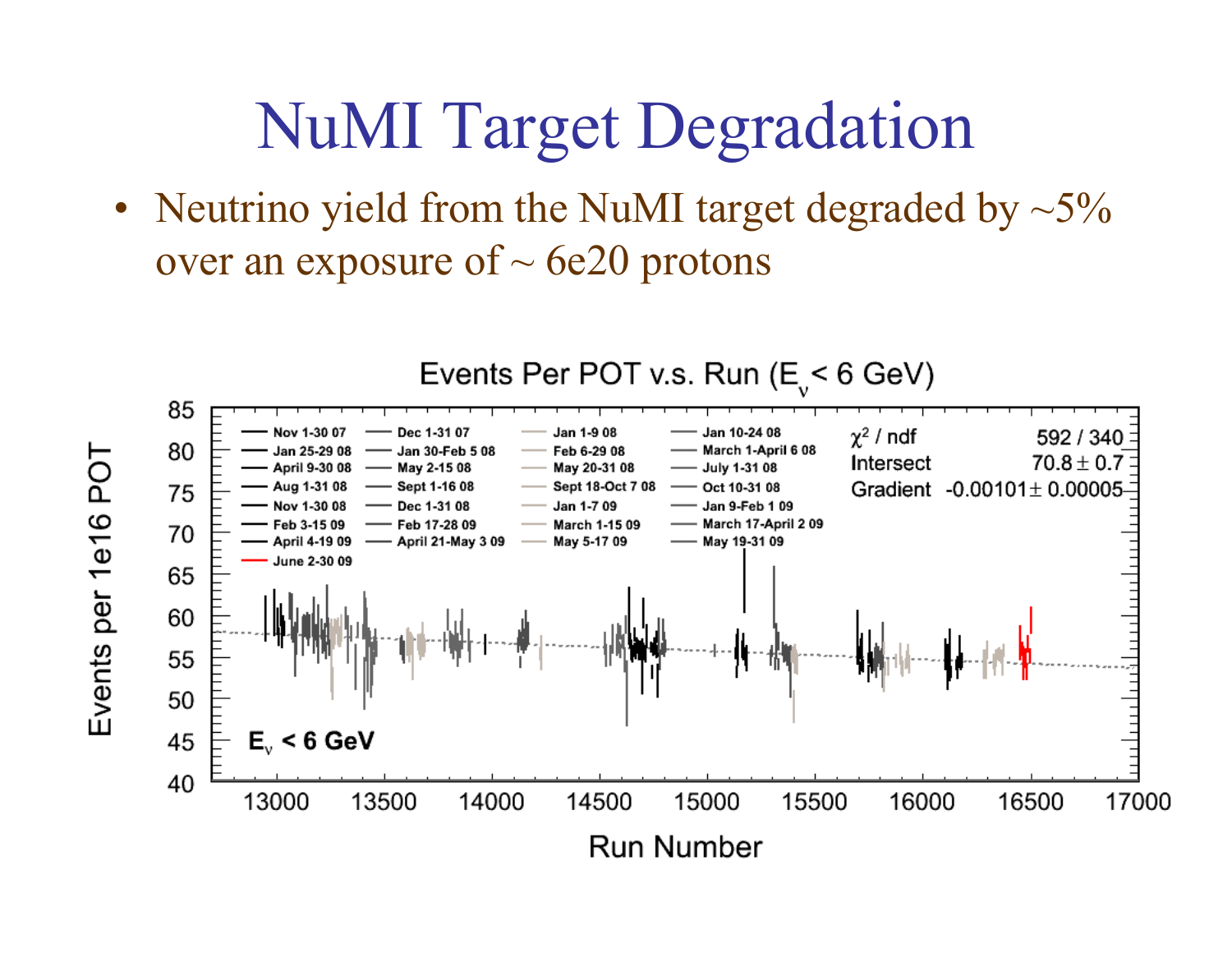### NuMI Target Degradation

•Neutrino yield from the NuMI target degraded by  $\sim$  5% over an exposure of  $\sim$  6e20 protons

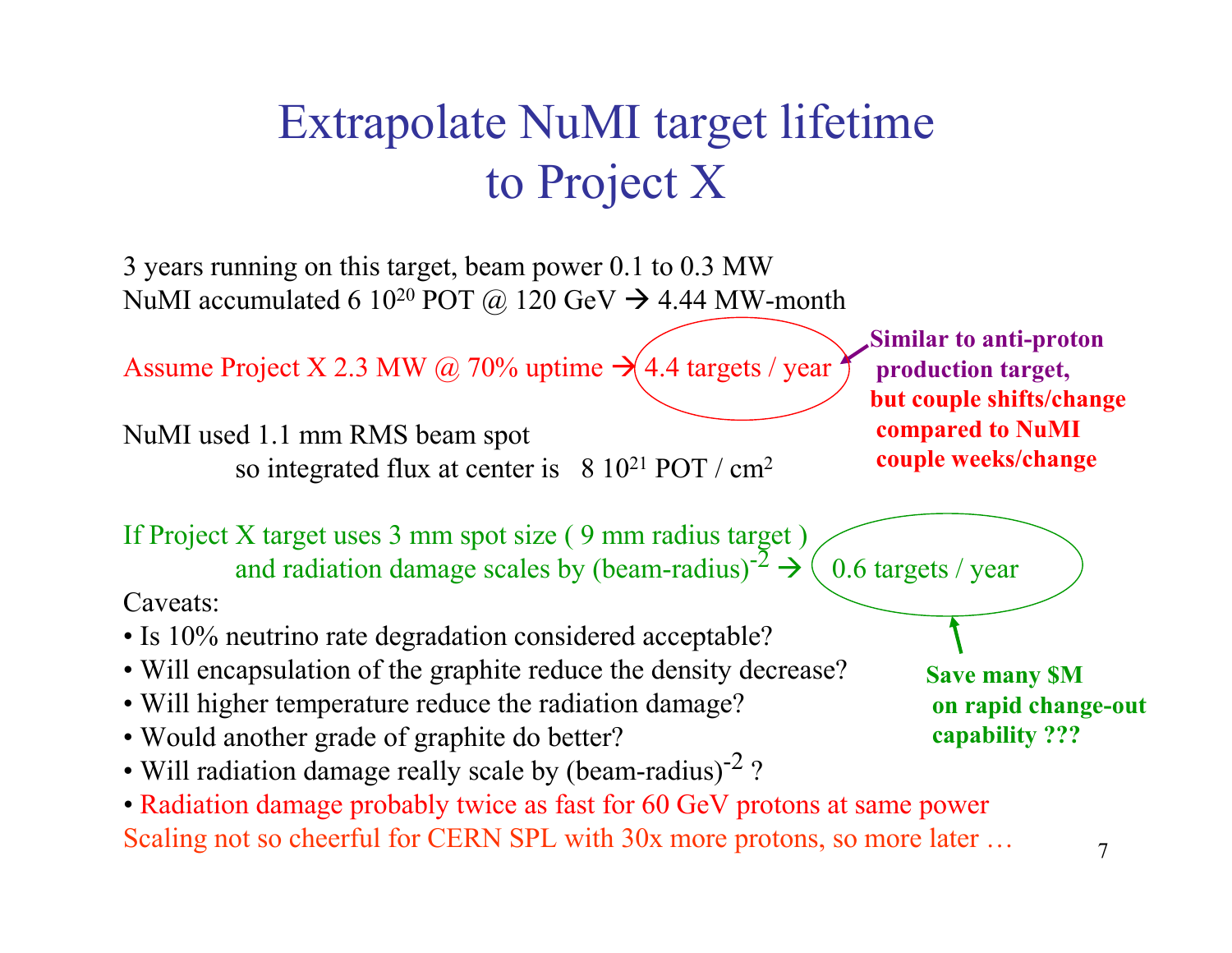#### Extrapolate NuMI target lifetimeto Project X

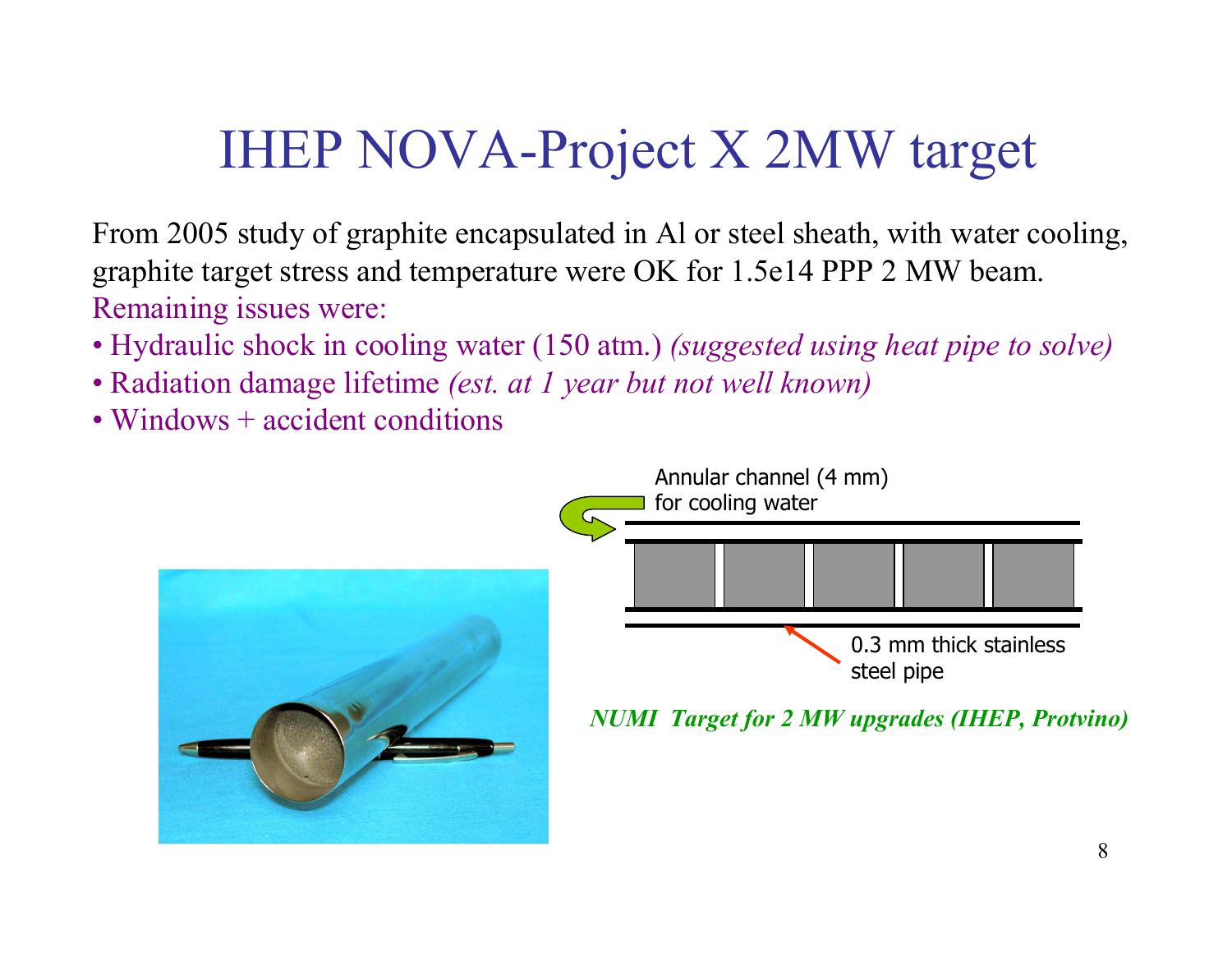#### IHEP NOVA-Project X 2MW target

From 2005 study of graphite encapsulated in Al or steel sheath, with water cooling,graphite target stress and temperature were OK for 1.5e14 PPP 2 MW beam.Remaining issues were:

- Hydraulic shock in cooling water  $(150 \text{ atm.})$  *(suggested using heat pipe to solve)*  $\blacksquare$
- Radiation damage lifetime *(est. at 1 year but not well known)*
- Windows + accident conditions

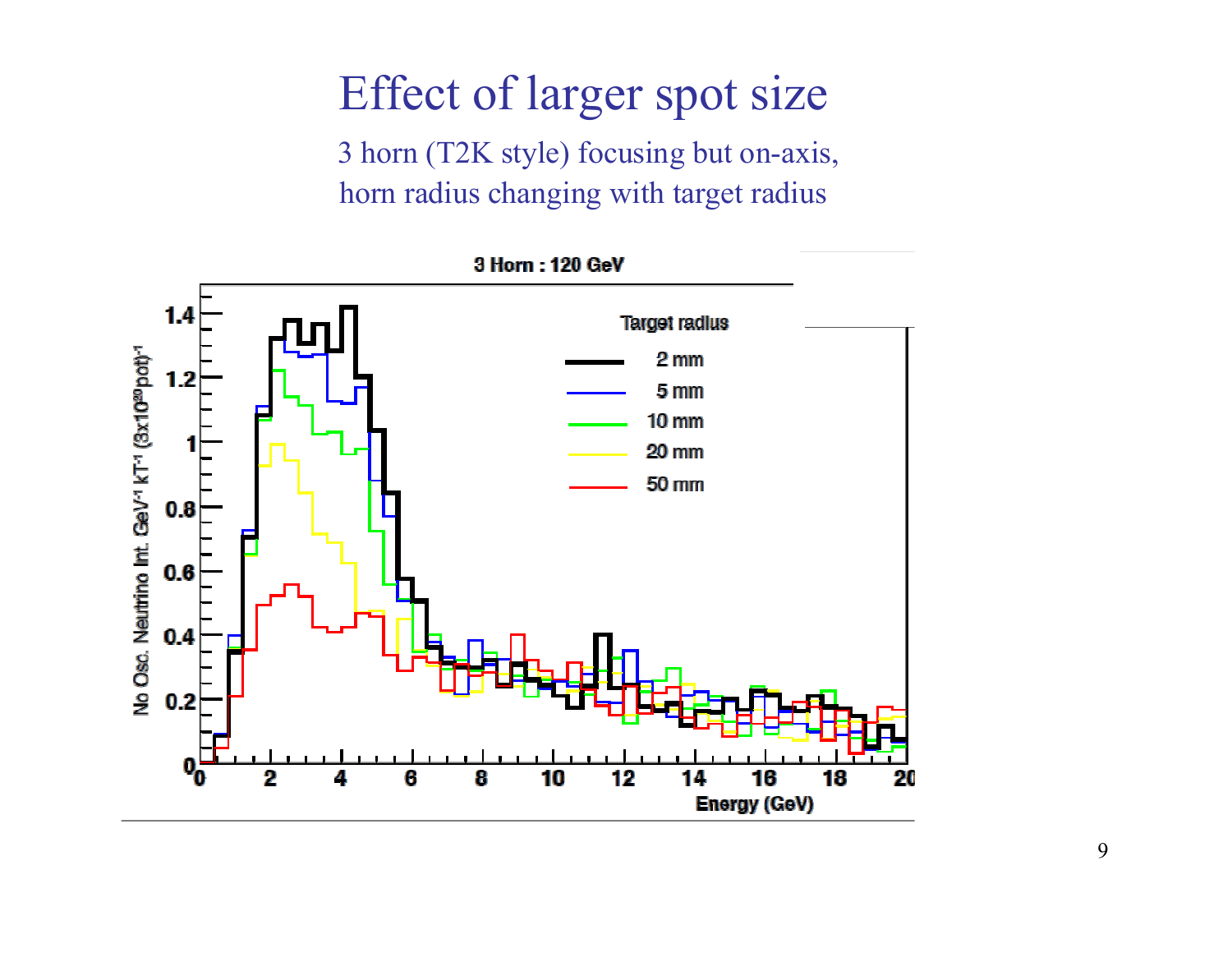#### Effect of larger spot size

3 horn (T2K style) focusing but on-axis,horn radius changing with target radius



9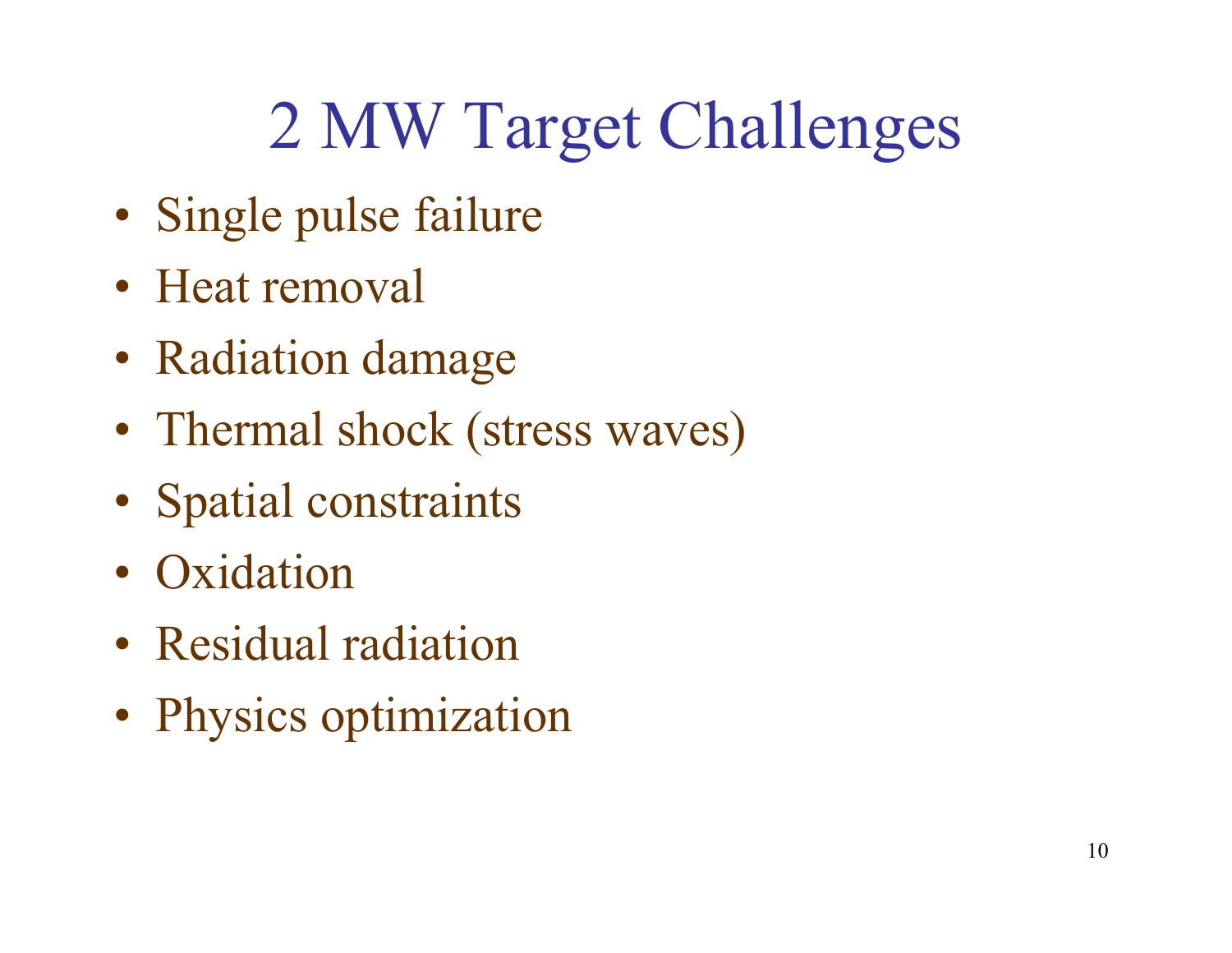# 2 MW Target Challenges

- Single pulse failure
- Heat removal
- Radiation damage
- Thermal shock (stress waves)
- Spatial constraints
- Oxidation
- Residual radiation
- Physics optimization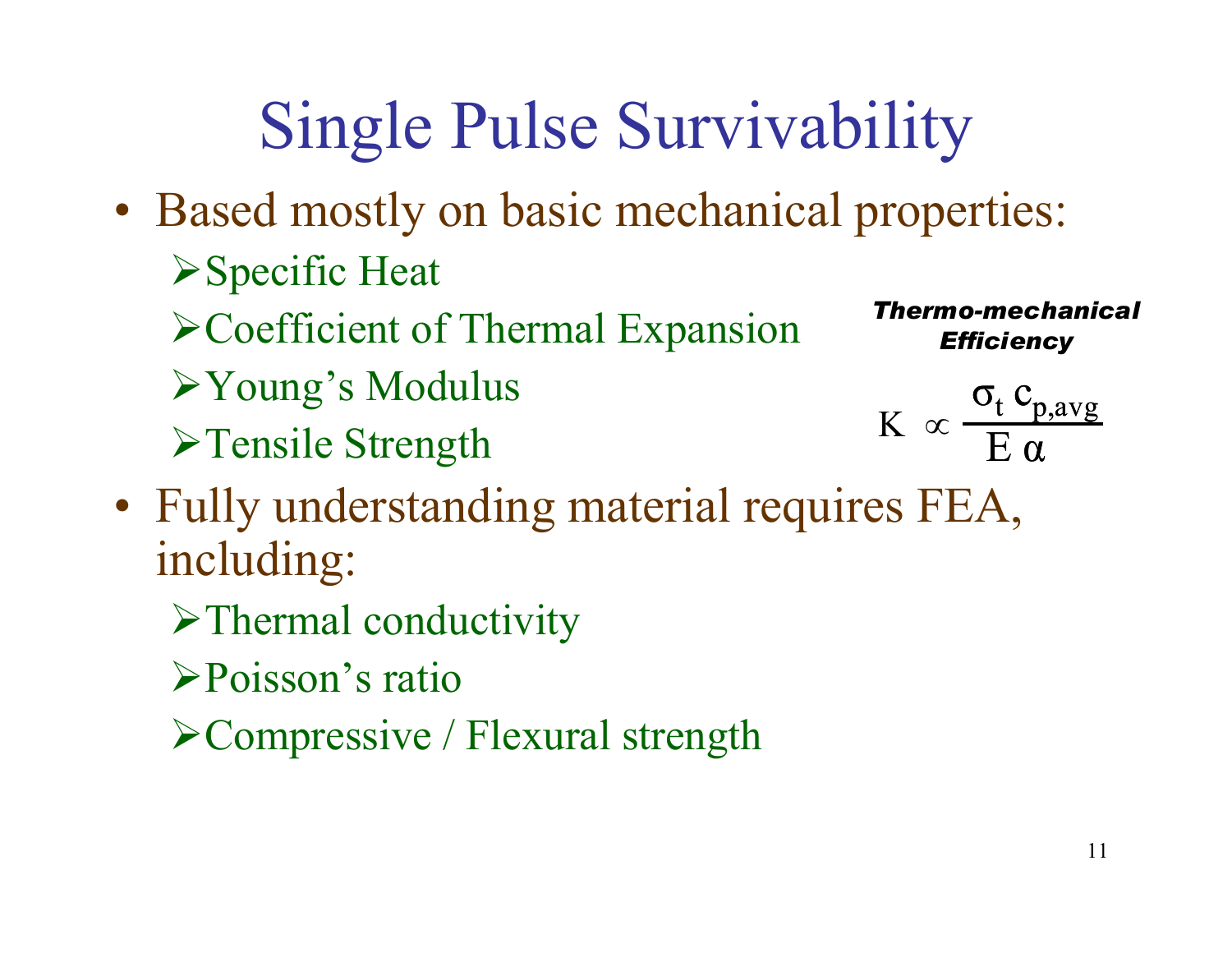# Single Pulse Survivability

- Based mostly on basic mechanical properties:
	- Specific Heat
	- Coefficient of Thermal Expansion
	- Young's Modulus
	- **>Tensile Strength**

Thermo-mechanical **Efficiency** 

$$
K \propto \frac{\sigma_t c_{p,avg}}{E \alpha}
$$

- Fully understanding material requires FEA,<br>including: including:
	- $\triangleright$  Thermal conductivity
	- Poisson's ratio
	- Compressive / Flexural strength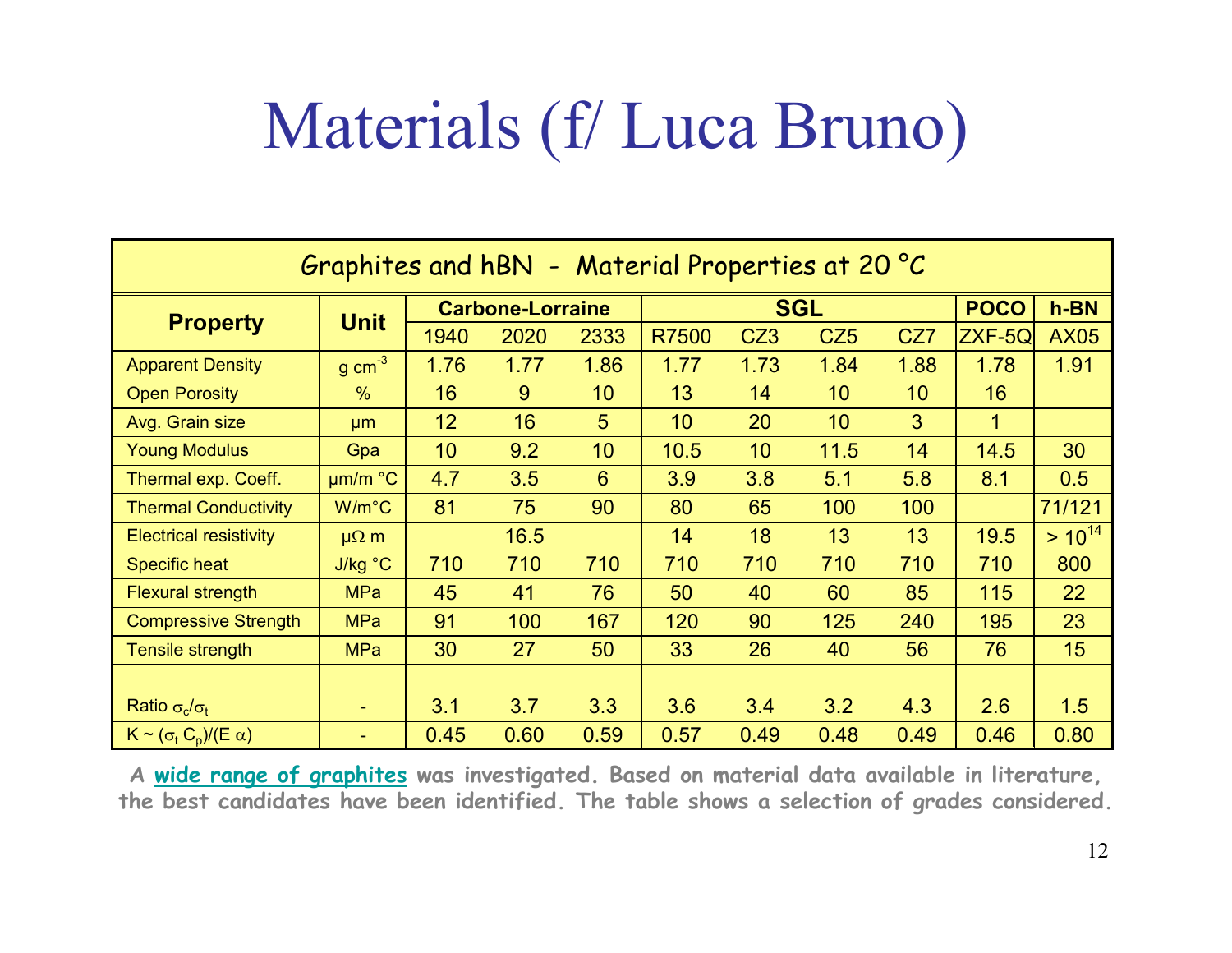# Materials (f/ Luca Bruno)

| Graphites and hBN - Material Properties at 20 °C |                     |                         |      |                 |            |                 |                 |      |             |             |
|--------------------------------------------------|---------------------|-------------------------|------|-----------------|------------|-----------------|-----------------|------|-------------|-------------|
| <b>Property</b>                                  | <b>Unit</b>         | <b>Carbone-Lorraine</b> |      |                 | <b>SGL</b> |                 |                 |      | <b>POCO</b> | $h-BN$      |
|                                                  |                     | 1940                    | 2020 | 2333            | R7500      | CZ <sub>3</sub> | CZ <sub>5</sub> | CZ7  | ZXF-5Q      | <b>AX05</b> |
| <b>Apparent Density</b>                          | $g \text{ cm}^{-3}$ | 1.76                    | 1.77 | 1.86            | 1.77       | 1.73            | 1.84            | 1.88 | 1.78        | 1.91        |
| <b>Open Porosity</b>                             | $\frac{0}{0}$       | 16                      | 9    | 10 <sup>°</sup> | 13         | 14              | 10              | 10   | 16          |             |
| Avg. Grain size                                  | µm                  | 12                      | 16   | 5               | 10         | 20              | 10              | 3    | 1           |             |
| <b>Young Modulus</b>                             | Gpa                 | 10                      | 9.2  | 10              | 10.5       | 10              | 11.5            | 14   | 14.5        | 30          |
| Thermal exp. Coeff.                              | um/m °C             | 4.7                     | 3.5  | 6               | 3.9        | 3.8             | 5.1             | 5.8  | 8.1         | 0.5         |
| <b>Thermal Conductivity</b>                      | $W/m^{\circ}C$      | 81                      | 75   | 90              | 80         | 65              | 100             | 100  |             | 71/121      |
| <b>Electrical resistivity</b>                    | $\mu\Omega$ m       |                         | 16.5 |                 | 14         | 18              | 13              | 13   | 19.5        | $> 10^{14}$ |
| <b>Specific heat</b>                             | J/kg °C             | 710                     | 710  | 710             | 710        | 710             | 710             | 710  | 710         | 800         |
| <b>Flexural strength</b>                         | <b>MPa</b>          | 45                      | 41   | 76              | 50         | 40              | 60              | 85   | 115         | 22          |
| <b>Compressive Strength</b>                      | <b>MPa</b>          | 91                      | 100  | 167             | 120        | 90              | 125             | 240  | 195         | 23          |
| Tensile strength                                 | <b>MPa</b>          | 30                      | 27   | 50              | 33         | 26              | 40              | 56   | 76          | 15          |
|                                                  |                     |                         |      |                 |            |                 |                 |      |             |             |
| Ratio $\sigma_c/\sigma_t$                        | $\sim$              | 3.1                     | 3.7  | 3.3             | 3.6        | 3.4             | 3.2             | 4.3  | 2.6         | 1.5         |
| $K \sim (\sigma_t C_p)/(E \alpha)$               |                     | 0.45                    | 0.60 | 0.59            | 0.57       | 0.49            | 0.48            | 0.49 | 0.46        | 0.80        |

A wide range of graphites was investigated. Based on material data available in literature, the best candidates have been identified. The table shows a selection of grades considered.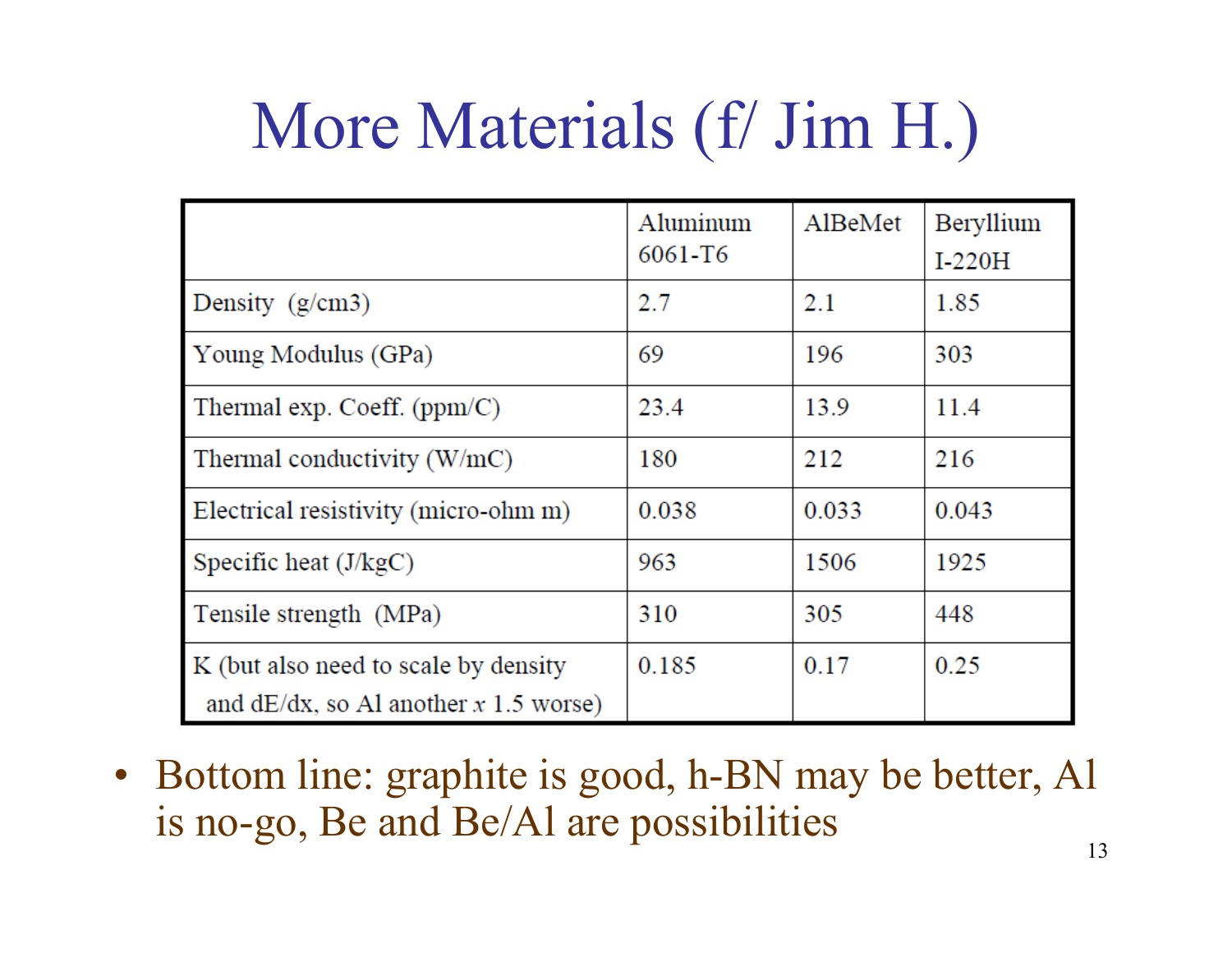# More Materials (f/ Jim H.)

|                                                                                  | Aluminum<br>6061-T6 | AlBeMet | Beryllium<br>$I-220H$ |
|----------------------------------------------------------------------------------|---------------------|---------|-----------------------|
| Density $(g/cm3)$                                                                | 2.7                 | 2.1     | 1.85                  |
| Young Modulus (GPa)                                                              | 69                  | 196     | 303                   |
| Thermal exp. Coeff. $(ppm/C)$                                                    | 23.4                | 13.9    | 11.4                  |
| Thermal conductivity $(W/mC)$                                                    | 180                 | 212     | 216                   |
| Electrical resistivity (micro-ohm m)                                             | 0.038               | 0.033   | 0.043                 |
| Specific heat $(J/kgC)$                                                          | 963                 | 1506    | 1925                  |
| Tensile strength (MPa)                                                           | 310                 | 305     | 448                   |
| K (but also need to scale by density<br>and $dE/dx$ , so Al another x 1.5 worse) | 0.185               | 0.17    | 0.25                  |

• Bottom line: graphite is good, h-BN may be better, Al is no-go, Be and Be/Al are possibilities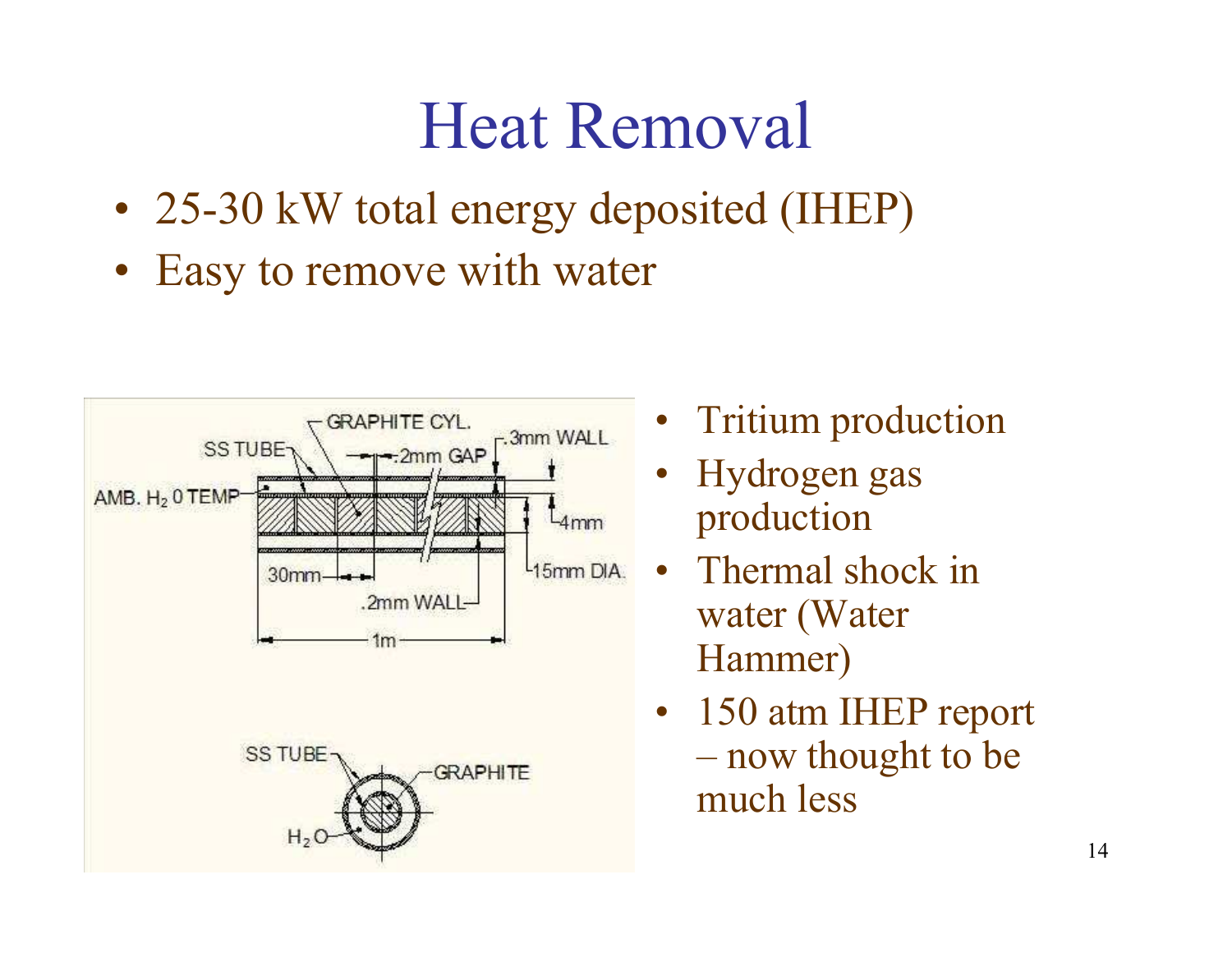## Heat Removal

- 25-30 kW total energy deposited (IHEP)
- Easy to remove with water



- •Tritium production
- • Hydrogen gas production
- $\bullet$  Thermal shock in water (Water Hammer)
- • 150 atm IHEP report now thought to be much less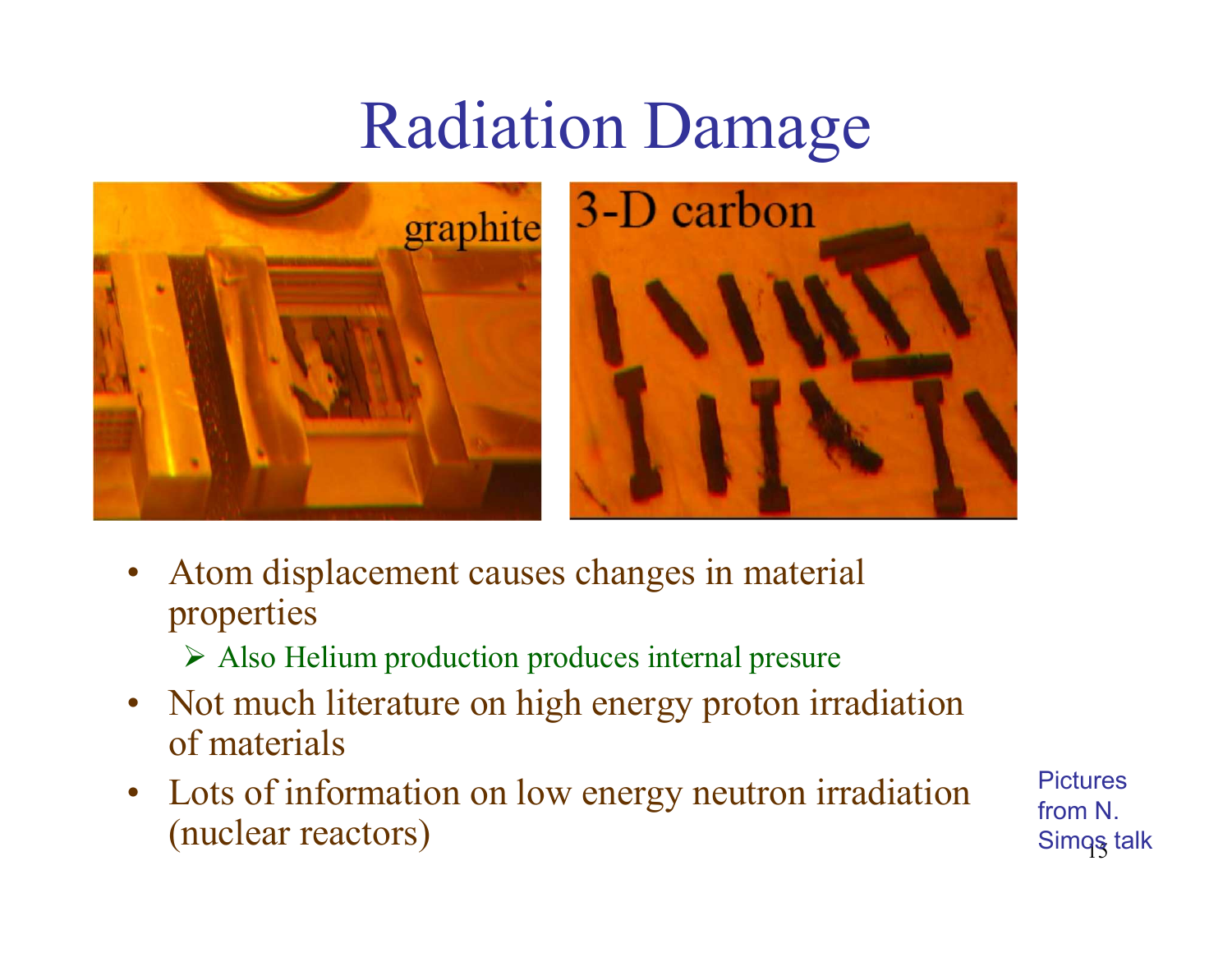## Radiation Damage





- • Atom displacement causes changes in material properties
	- Also Helium production produces internal presure
- • Not much literature on high energy proton irradiation of materials
- $\bullet$  Lots of information on low energy neutron irradiation (nuclear reactors)

15**Pictures** from N. Simq<mark>ş</mark> talk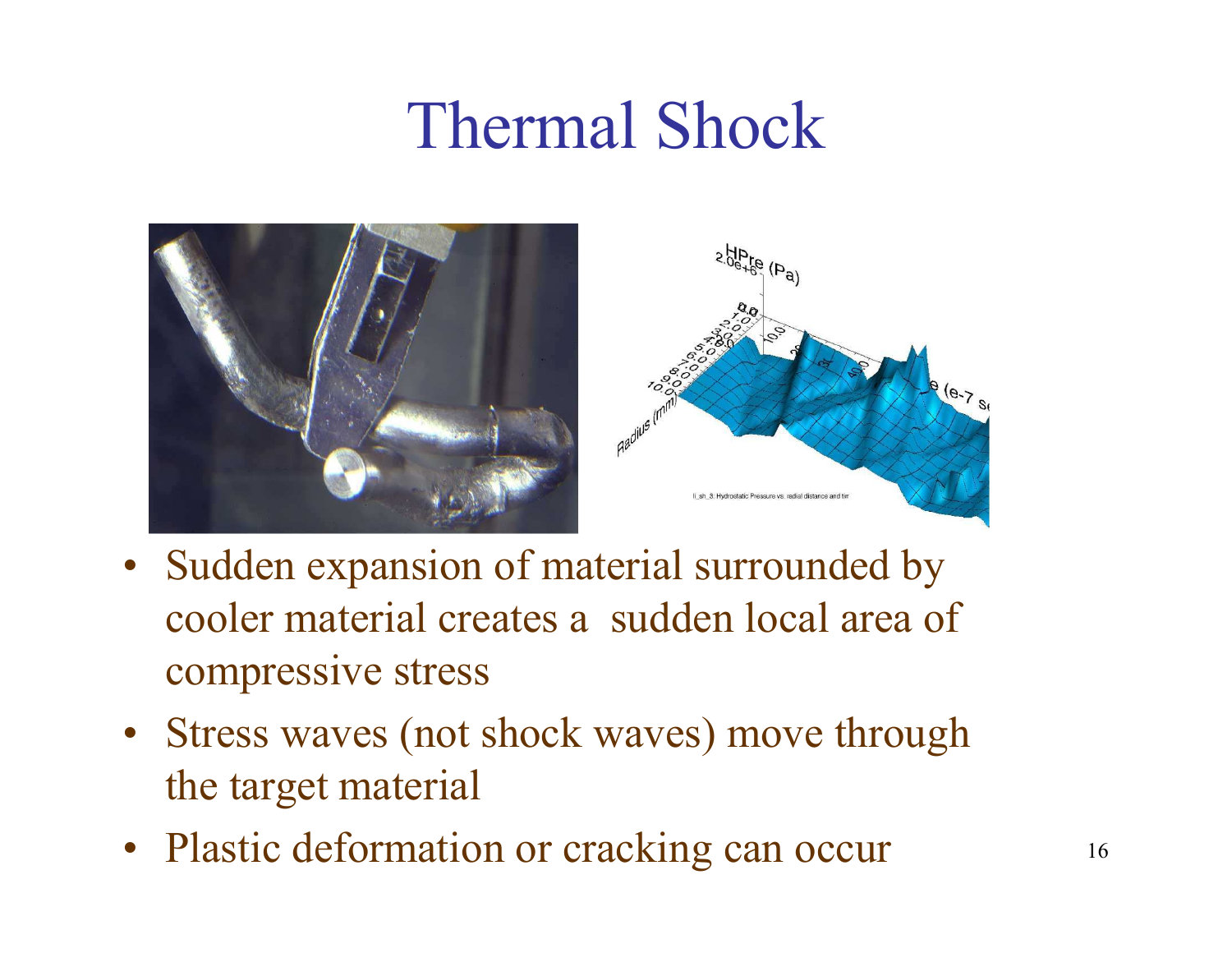## Thermal Shock





- Sudden expansion of material surrounded by cooler material creates a sudden local area of compressive stress
- Stress waves (not shock waves) move through the target material
- Plastic deformation or cracking can occur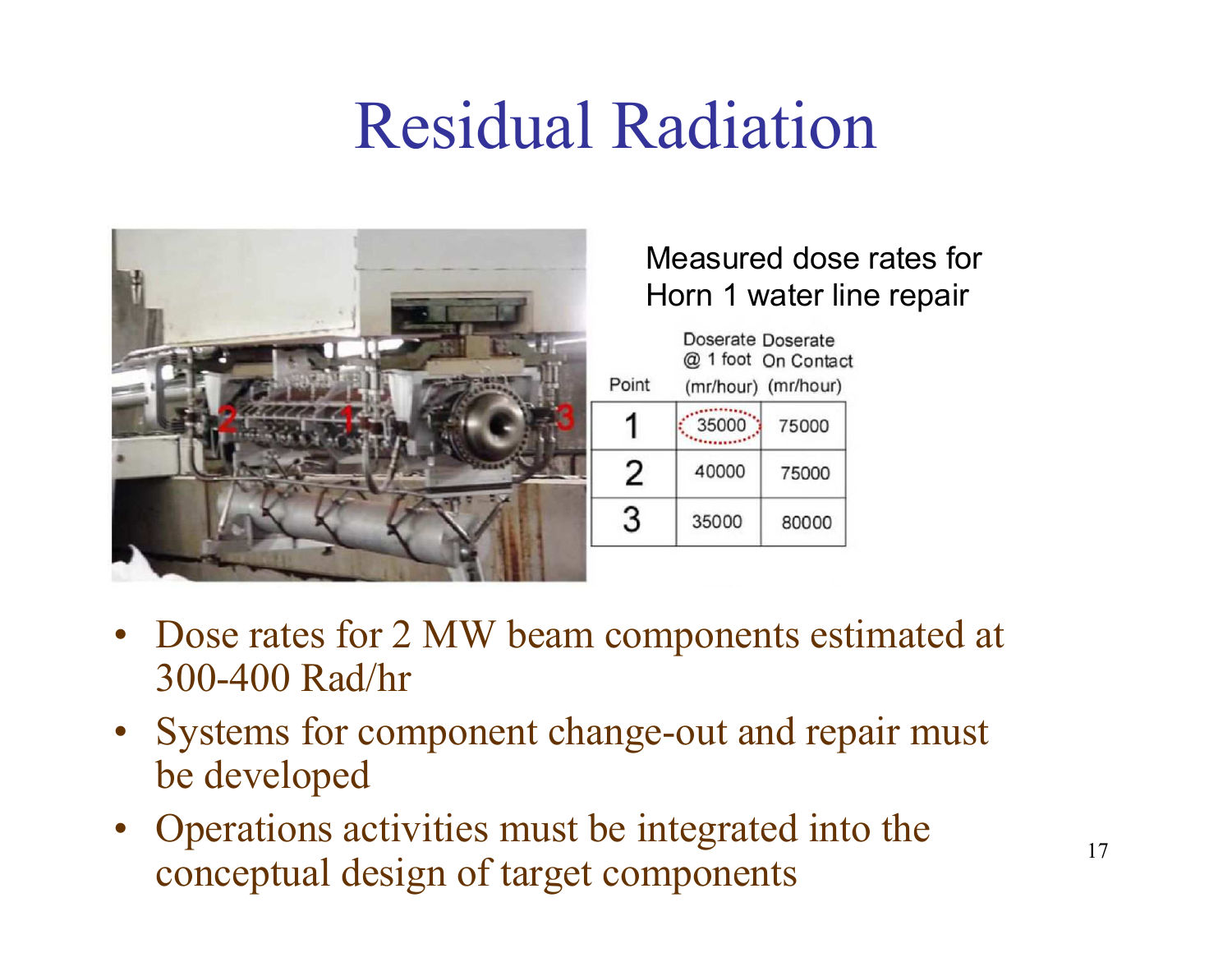# Residual Radiation



#### Measured dose rates for Horn 1 water line repair

|       | Doserate Doserate<br>@ 1 foot On Contact |       |  |  |  |  |
|-------|------------------------------------------|-------|--|--|--|--|
| Point | (mr/hour) (mr/hour)                      |       |  |  |  |  |
|       | 35000                                    | 75000 |  |  |  |  |
| 2     | 40000                                    | 75000 |  |  |  |  |
| 3     | 35000                                    | 80000 |  |  |  |  |
|       |                                          |       |  |  |  |  |

- Dose rates for 2 MW beam components estimated at  $200,400$  B ad/br 300-400 Rad/hr
- Systems for component change-out and repair must<br>be developed be developed
- Operations activities must be integrated into the concentral design of terms components conceptual design of target components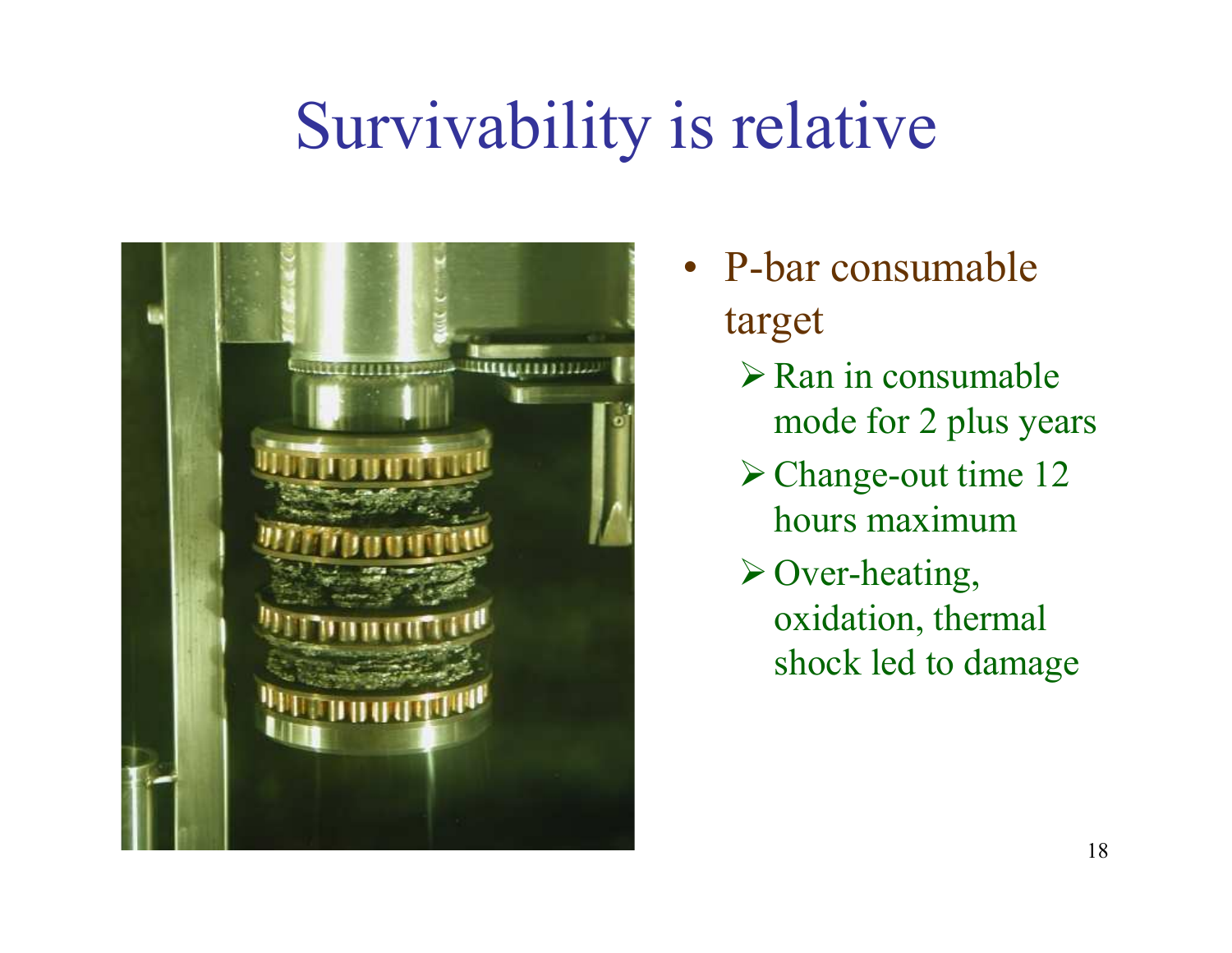## Survivability is relative



- P-bar consumable target
	- $\triangleright$  Ran in consumable mode for 2 plus years
	- Change-out time 12 hours maximum
	- Over-heating, oxidation, thermal shock led to damage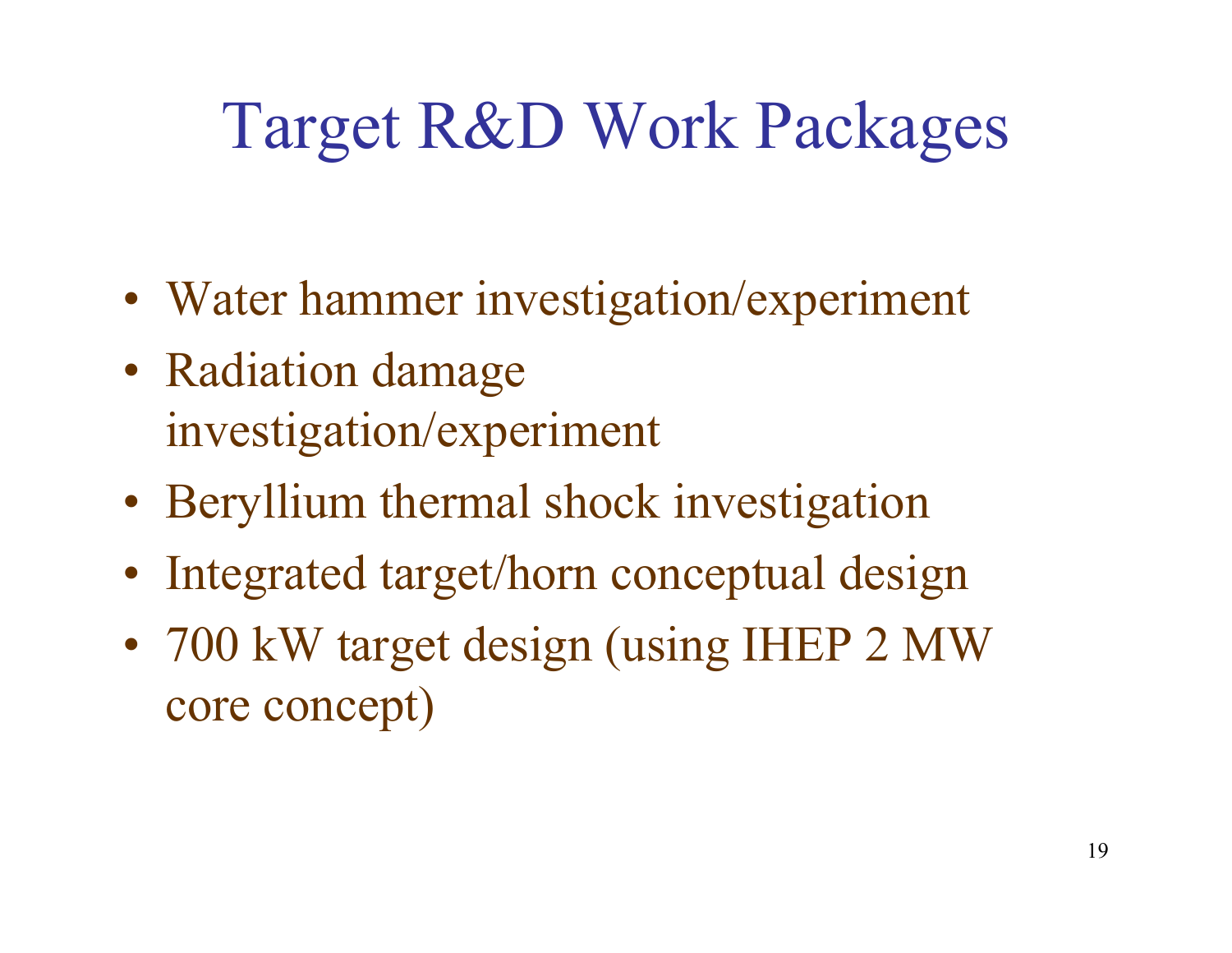# Target R&D Work Packages

- Water hammer investigation/experiment
- Radiation damage investigation/experiment
- Beryllium thermal shock investigation
- Integrated target/horn conceptual design
- 700 kW target design (using IHEP 2 MW core concept)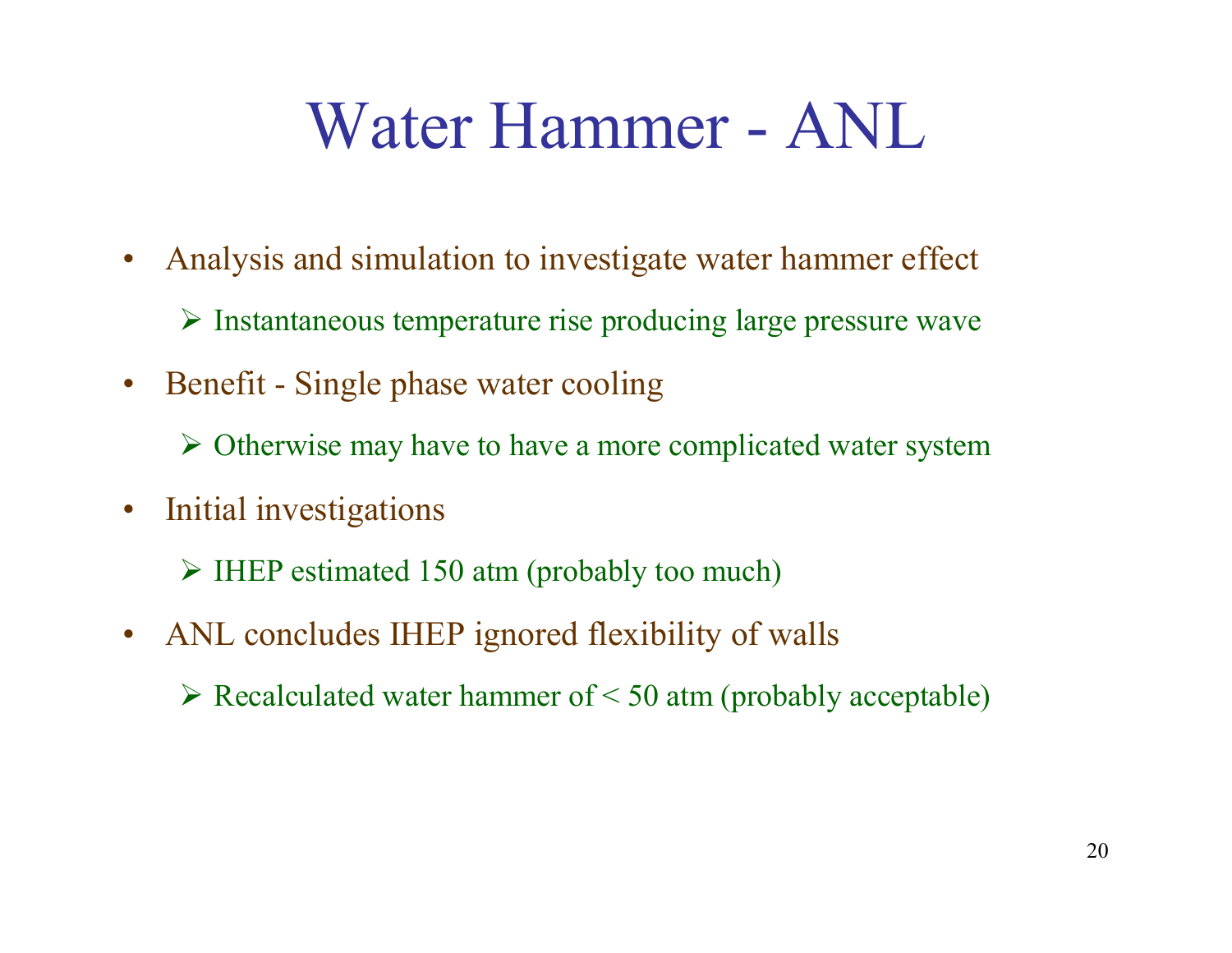### Water Hammer - ANL

- $\bullet$  Analysis and simulation to investigate water hammer effect
	- $\triangleright$  Instantaneous temperature rise producing large pressure wave
- $\bullet$  Benefit - Single phase water cooling
	- $\triangleright$  Otherwise may have to have a more complicated water system
- $\bullet$  Initial investigations
	- IHEP estimated 150 atm (probably too much)
- $\bullet$  ANL concludes IHEP ignored flexibility of walls
	- $\triangleright$  Recalculated water hammer of < 50 atm (probably acceptable)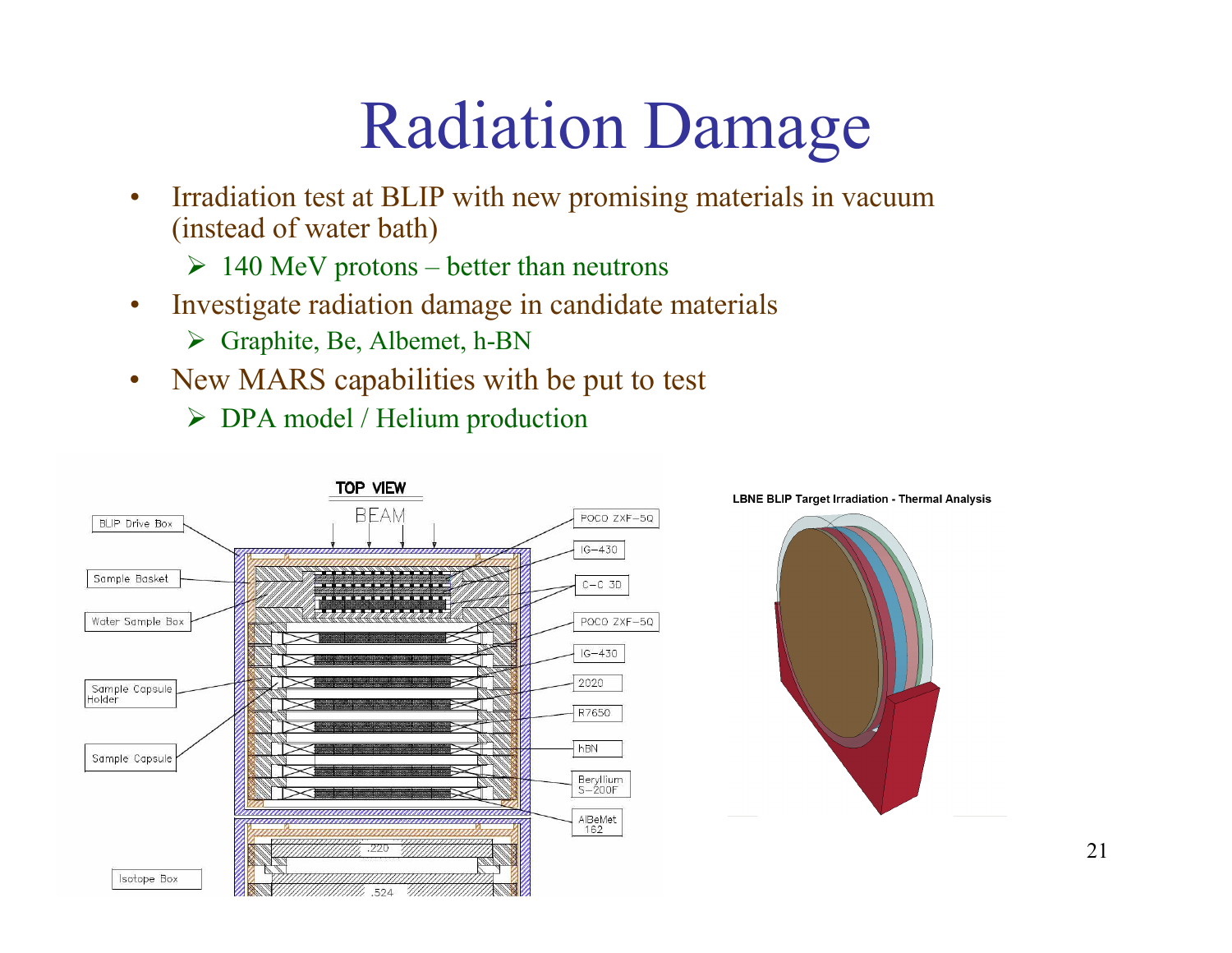# Radiation Damage

- • Irradiation test at BLIP with new promising materials in vacuum (instead of water bath)
	- $> 140$  MeV protons better than neutrons
- $\bullet$  Investigate radiation damage in candidate material s
	- Graphite, Be, Albemet, h-BN
- • New MARS capabilities with be put to test
	- DPA model / Helium production



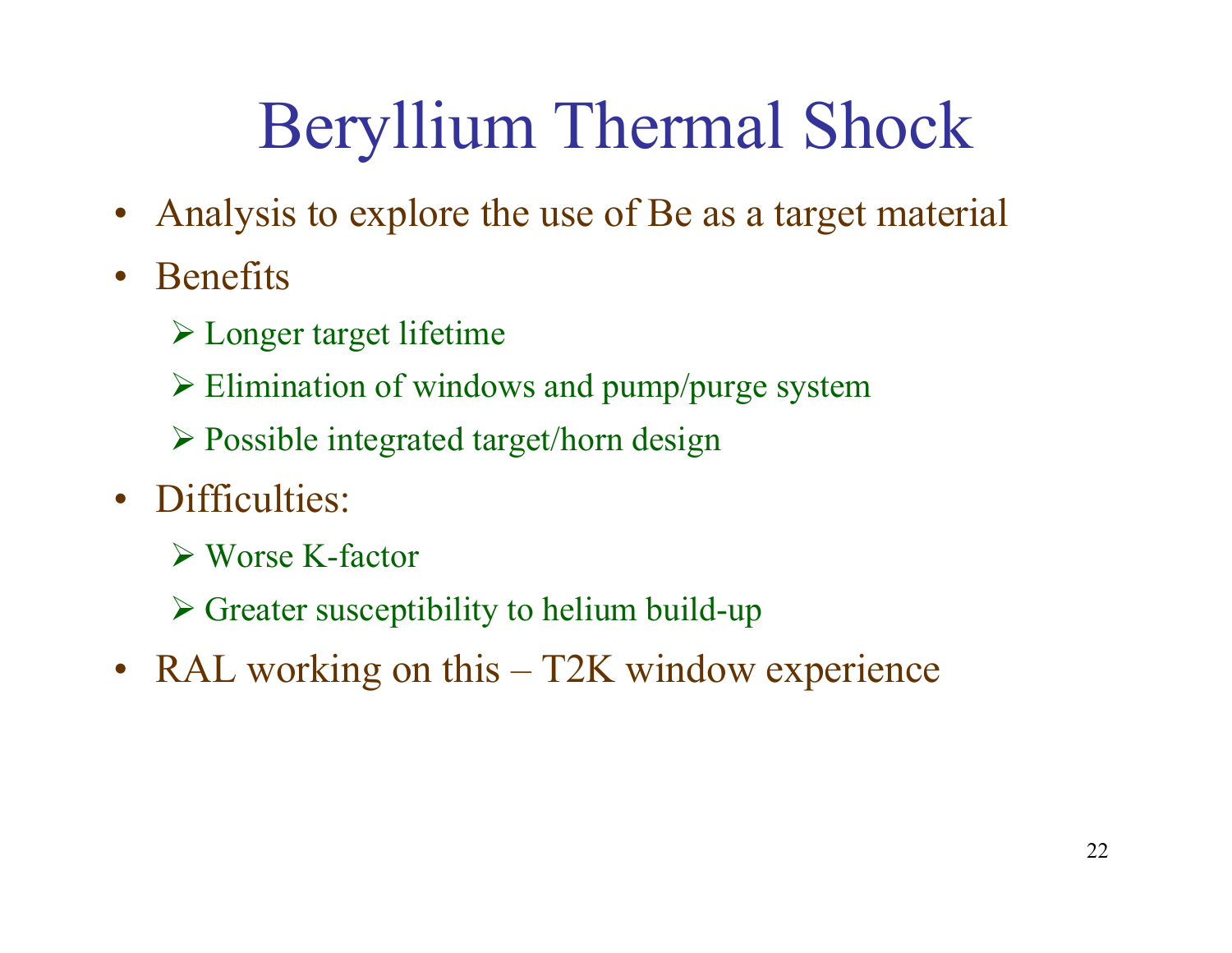# Beryllium Thermal Shock

- Analysis to explore the use of Be as a target material
- • Benefits
	- Longer target lifetime
	- Elimination of windows and pump/purge system
	- Possible integrated target/horn design
- Difficulties:
	- Worse K-factor
	- Greater susceptibility to helium build-up
- RAL working on this T2K window experience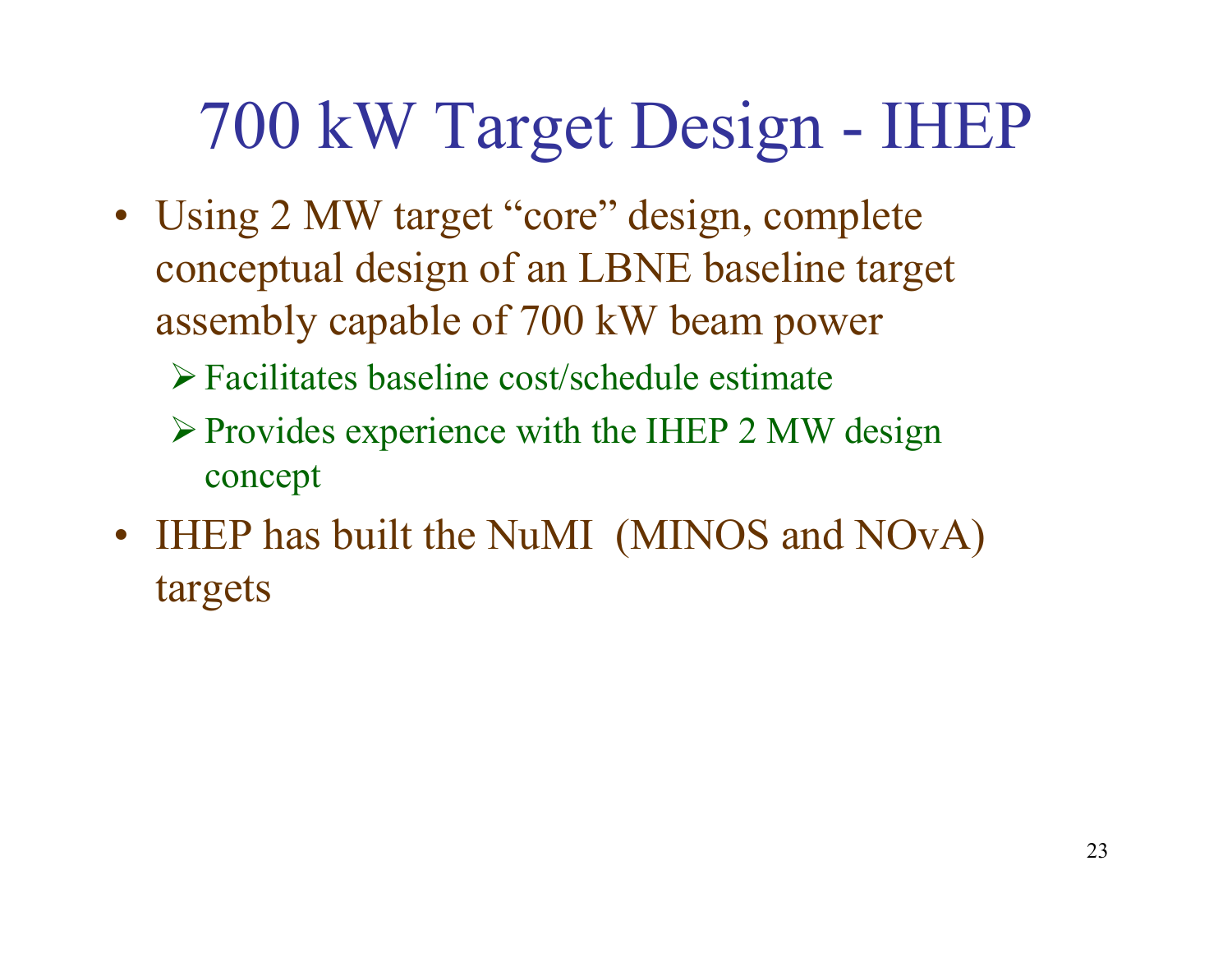## 700 kW Target Design - IHEP

- Using 2 MW target "core" design, complete conceptual design of an LBNE baseline target assembly capable of 700 kW beam power
	- Facilitates baseline cost/schedule estimate
	- $\triangleright$  Provides experience with the IHEP 2 MW design concept
- IHEP has built the NuMI (MINOS and NOvA) targets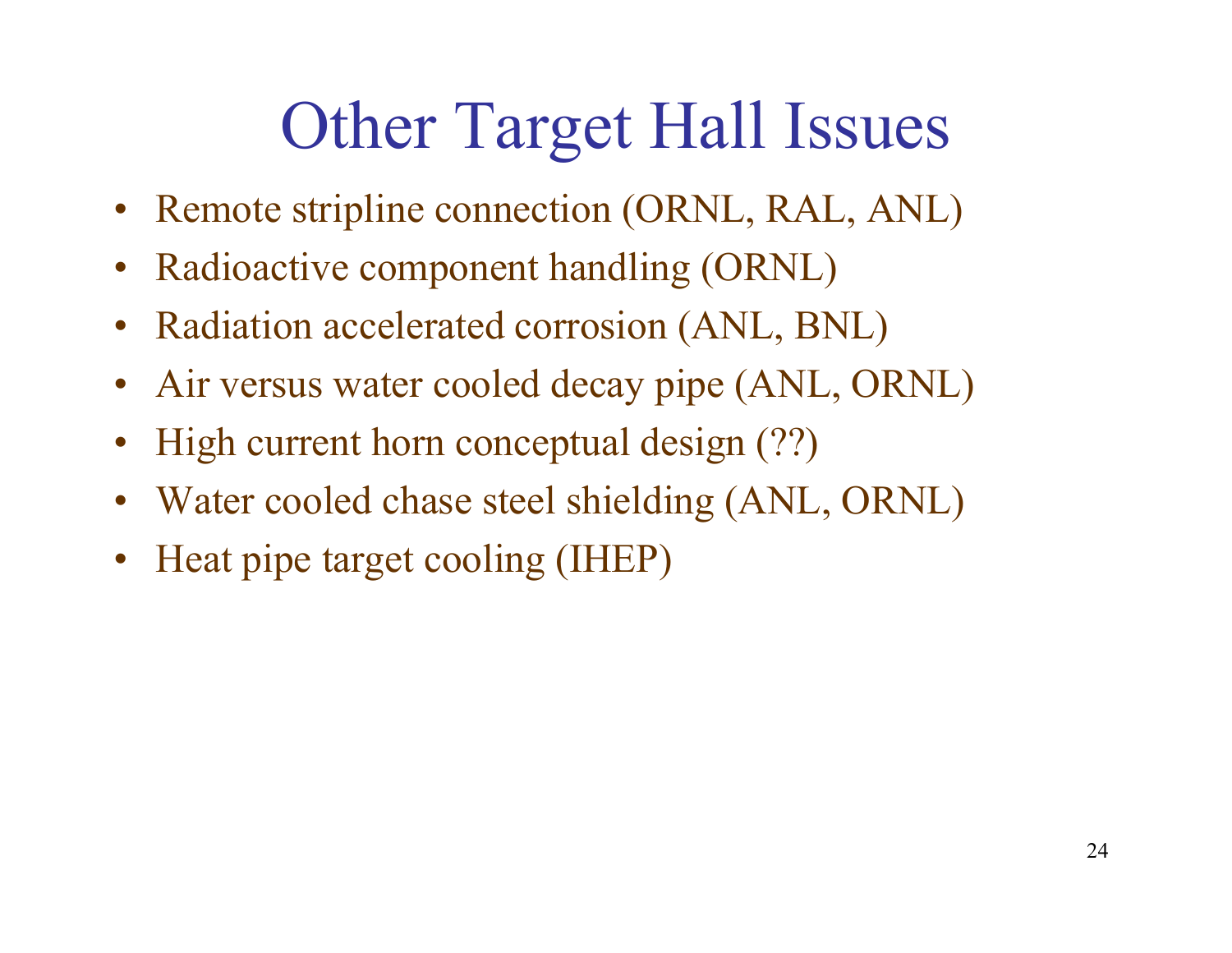# Other Target Hall Issues

- Remote stripline connection (ORNL, RAL, ANL)
- Radioactive component handling (ORNL)
- Radiation accelerated corrosion (ANL, BNL)
- Air versus water cooled decay pipe (ANL, ORNL)
- High current horn conceptual design (??)
- Water cooled chase steel shielding (ANL, ORNL)
- Heat pipe target cooling (IHEP)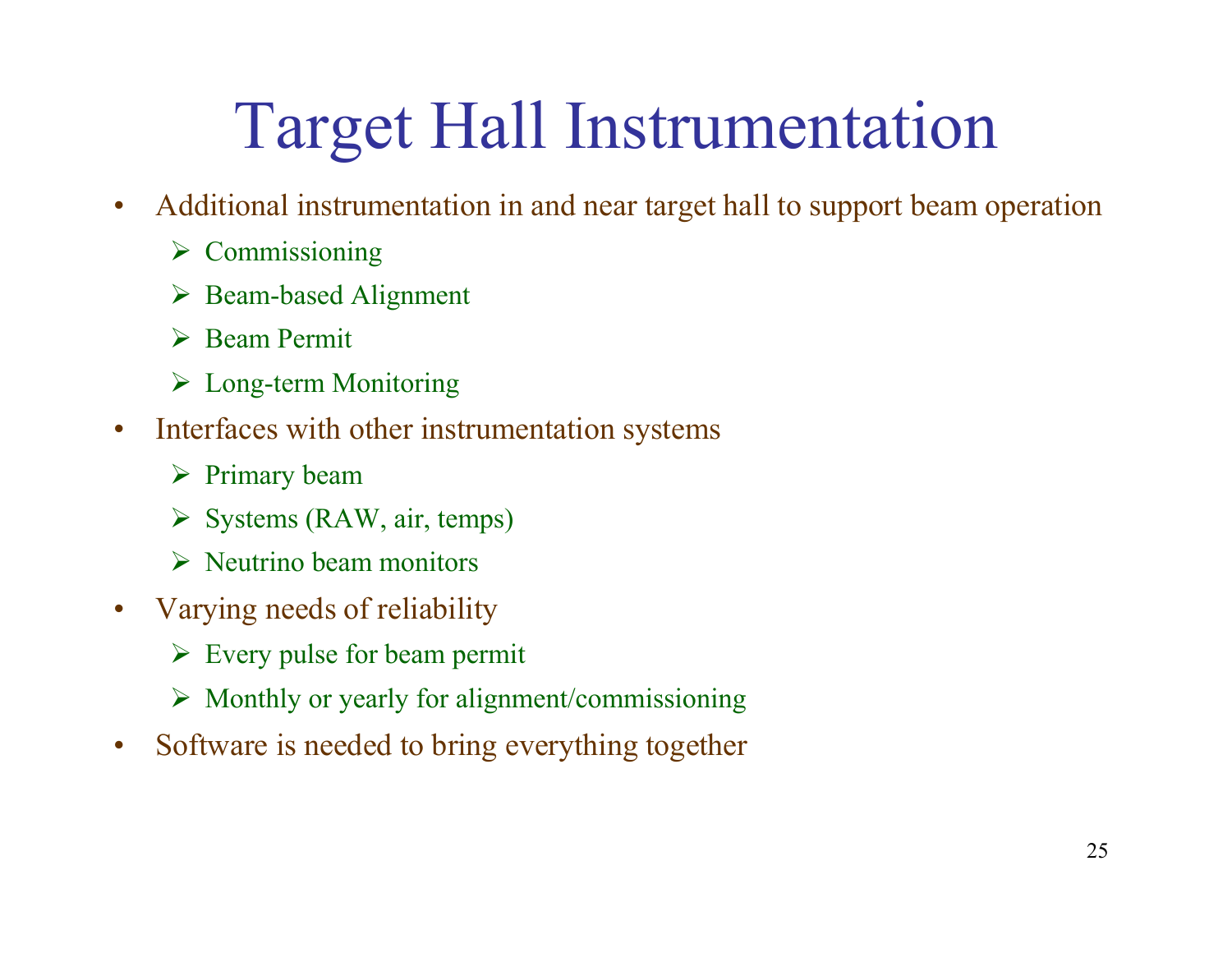# Target Hall Instrumentation

- $\bullet$  Additional instrumentation in and near target hall to support beam operation
	- $\triangleright$  Commissioning
	- Beam-based Alignment
	- Beam Permit
	- Long-term Monitoring
- $\bullet$  Interfaces with other instrumentation systems
	- $\triangleright$  Primary beam
	- $\triangleright$  Systems (RAW, air, temps)
	- $\triangleright$  Neutrino beam monitors
- • Varying needs of reliability
	- $\triangleright$  Every pulse for beam permit
	- Monthly or yearly for alignment/commissioning
- $\bullet$ Software is needed to bring everything together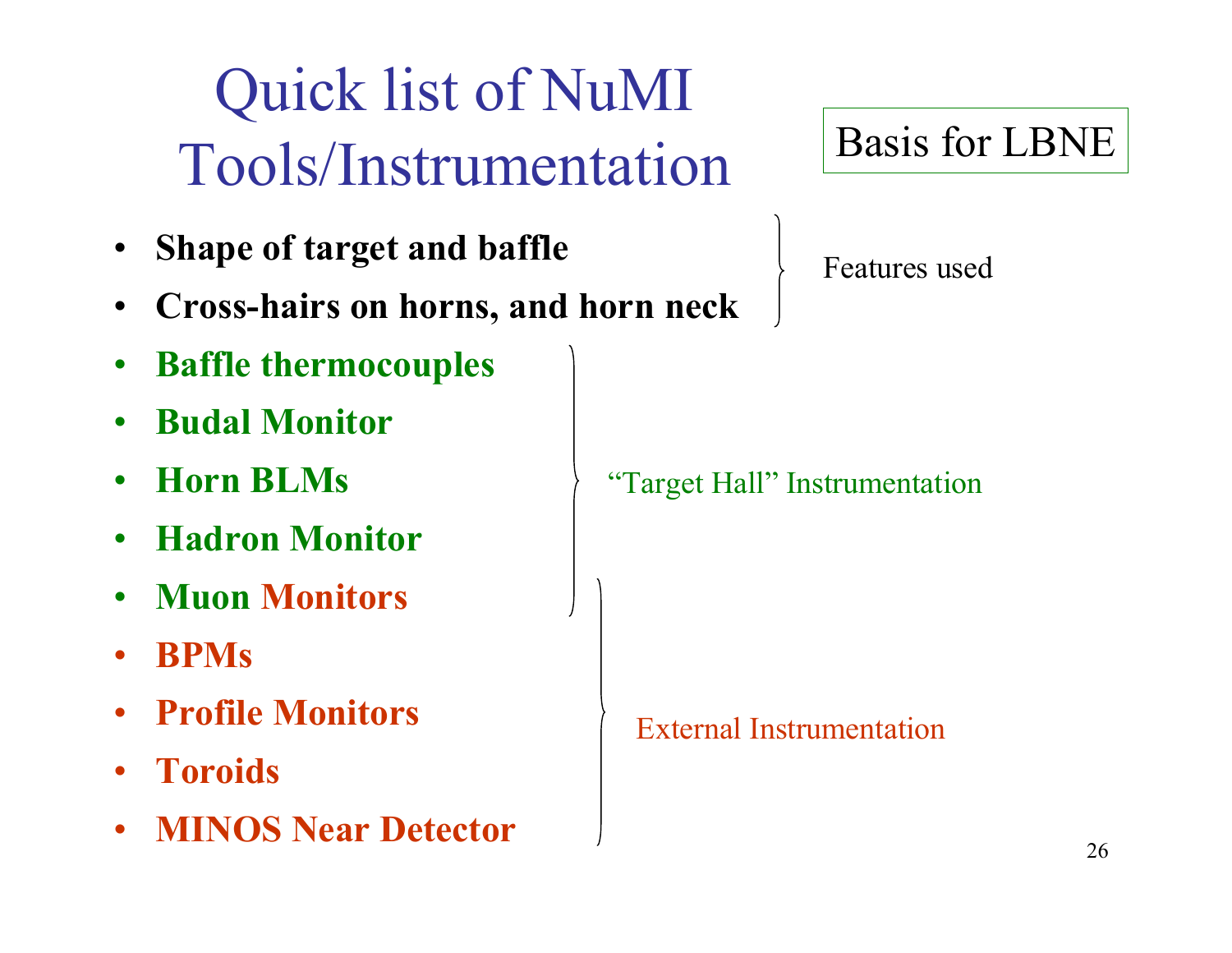### Quick list of NuMI Tools/Instrumentation

- •Shape of target and baffle
- •Cross-hairs on horns, and horn neck
- $\bullet$ Baffle thermocouples
- •Budal Monitor
- •Horn BLMs
- •Hadron Monitor
- •Muon Monitors
- •BPMs
- •Profile Monitors
- Toroids
- •MINOS Near Detector

#### Basis for LBNE

Features used

"Target Hall" Instrumentation

External Instrumentation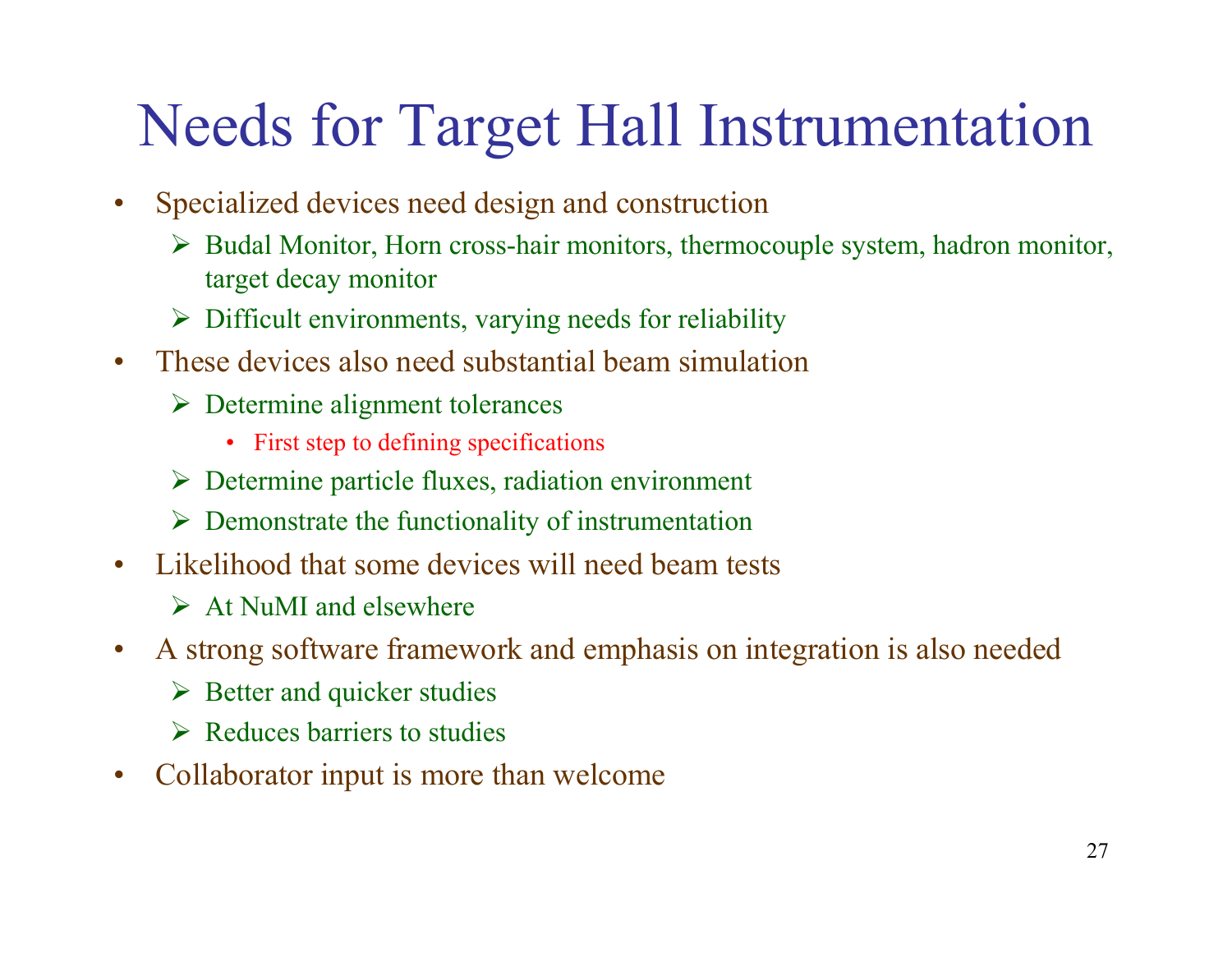#### Needs for Target Hall Instrumentation

- • Specialized devices need design and construction
	- Budal Monitor, Horn cross-hair monitors, thermocouple system, hadron monitor, target decay monitor
	- $\triangleright$  Difficult environments, varying needs for reliability
- These devices also need substantial beam simulation
	- $\triangleright$  Determine alignment tolerances
		- First step to defining specifications
	- $\triangleright$  Determine particle fluxes, radiation environment
	- $\triangleright$  Demonstrate the functionality of instrumentation
- Likelihood that some devices will need beam tests
	- $\triangleright$  At NuMI and elsewhere
- • A strong software framework and emphasis on integration is also needed
	- $\triangleright$  Better and quicker studies
	- $\triangleright$  Reduces barriers to studies
- •Collaborator input is more than welcome